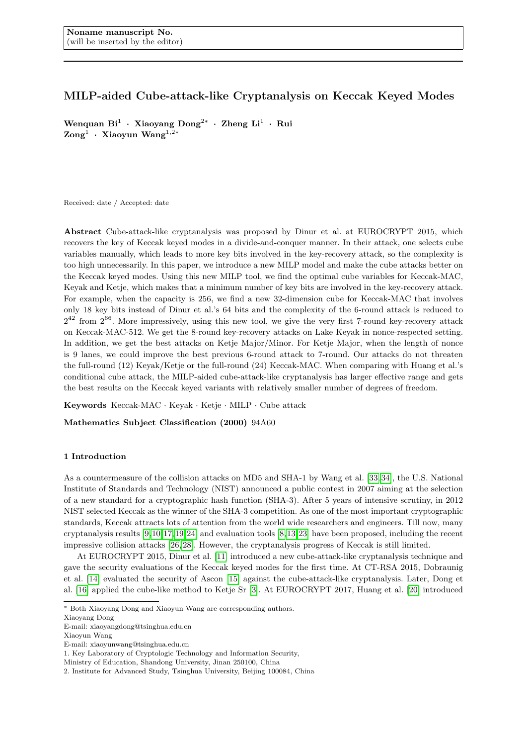# MILP-aided Cube-attack-like Cryptanalysis on Keccak Keyed Modes

Wenquan  $Bi^1 + X$ iaoyang  $Dong^{2*} + Z$ heng  $Li^1 + Ru$ i  $\mathrm{Zong}^1$  · Xiaoyun Wang<sup>1,2\*</sup>

Received: date / Accepted: date

Abstract Cube-attack-like cryptanalysis was proposed by Dinur et al. at EUROCRYPT 2015, which recovers the key of Keccak keyed modes in a divide-and-conquer manner. In their attack, one selects cube variables manually, which leads to more key bits involved in the key-recovery attack, so the complexity is too high unnecessarily. In this paper, we introduce a new MILP model and make the cube attacks better on the Keccak keyed modes. Using this new MILP tool, we find the optimal cube variables for Keccak-MAC, Keyak and Ketje, which makes that a minimum number of key bits are involved in the key-recovery attack. For example, when the capacity is 256, we find a new 32-dimension cube for Keccak-MAC that involves only 18 key bits instead of Dinur et al.'s 64 bits and the complexity of the 6-round attack is reduced to  $2^{42}$  from  $2^{66}$ . More impressively, using this new tool, we give the very first 7-round key-recovery attack on Keccak-MAC-512. We get the 8-round key-recovery attacks on Lake Keyak in nonce-respected setting. In addition, we get the best attacks on Ketje Major/Minor. For Ketje Major, when the length of nonce is 9 lanes, we could improve the best previous 6-round attack to 7-round. Our attacks do not threaten the full-round (12) Keyak/Ketje or the full-round (24) Keccak-MAC. When comparing with Huang et al.'s conditional cube attack, the MILP-aided cube-attack-like cryptanalysis has larger effective range and gets the best results on the Keccak keyed variants with relatively smaller number of degrees of freedom.

Keywords Keccak-MAC · Keyak · Ketje · MILP · Cube attack

Mathematics Subject Classification (2000) 94A60

# 1 Introduction

As a countermeasure of the collision attacks on MD5 and SHA-1 by Wang et al. [\[33,](#page-12-0) [34\]](#page-12-1), the U.S. National Institute of Standards and Technology (NIST) announced a public contest in 2007 aiming at the selection of a new standard for a cryptographic hash function (SHA-3). After 5 years of intensive scrutiny, in 2012 NIST selected Keccak as the winner of the SHA-3 competition. As one of the most important cryptographic standards, Keccak attracts lots of attention from the world wide researchers and engineers. Till now, many cryptanalysis results [\[9,](#page-12-2)[10,](#page-12-3)[17,](#page-12-4)[19,](#page-12-5)[24\]](#page-12-6) and evaluation tools [\[8,](#page-12-7)[13,](#page-12-8)[23\]](#page-12-9) have been proposed, including the recent impressive collision attacks [\[26,](#page-12-10) [28\]](#page-12-11). However, the cryptanalysis progress of Keccak is still limited.

At EUROCRYPT 2015, Dinur et al. [\[11\]](#page-12-12) introduced a new cube-attack-like cryptanalysis technique and gave the security evaluations of the Keccak keyed modes for the first time. At CT-RSA 2015, Dobraunig et al. [\[14\]](#page-12-13) evaluated the security of Ascon [\[15\]](#page-12-14) against the cube-attack-like cryptanalysis. Later, Dong et al. [\[16\]](#page-12-15) applied the cube-like method to Ketje Sr [\[3\]](#page-11-0). At EUROCRYPT 2017, Huang et al. [\[20\]](#page-12-16) introduced

<sup>∗</sup> Both Xiaoyang Dong and Xiaoyun Wang are corresponding authors.

Xiaoyang Dong

E-mail: xiaoyangdong@tsinghua.edu.cn

Xiaoyun Wang

E-mail: xiaoyunwang@tsinghua.edu.cn

<sup>1.</sup> Key Laboratory of Cryptologic Technology and Information Security,

Ministry of Education, Shandong University, Jinan 250100, China

<sup>2.</sup> Institute for Advanced Study, Tsinghua University, Beijing 100084, China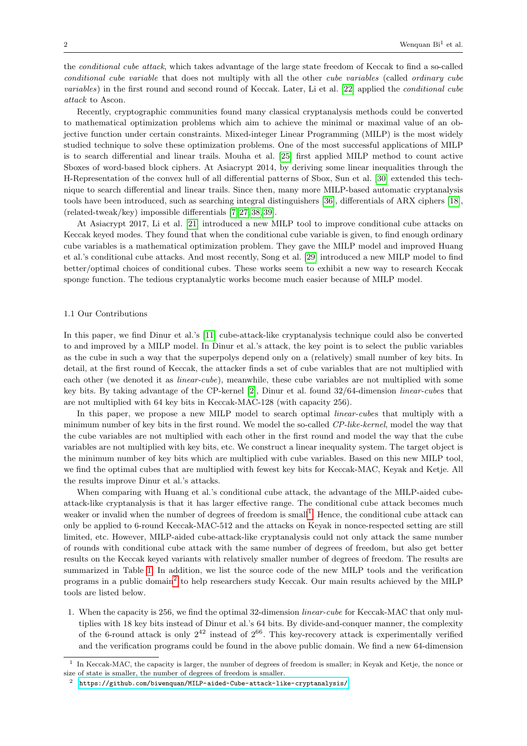the conditional cube attack, which takes advantage of the large state freedom of Keccak to find a so-called conditional cube variable that does not multiply with all the other cube variables (called ordinary cube variables) in the first round and second round of Keccak. Later, Li et al. [\[22\]](#page-12-17) applied the conditional cube attack to Ascon.

Recently, cryptographic communities found many classical cryptanalysis methods could be converted to mathematical optimization problems which aim to achieve the minimal or maximal value of an objective function under certain constraints. Mixed-integer Linear Programming (MILP) is the most widely studied technique to solve these optimization problems. One of the most successful applications of MILP is to search differential and linear trails. Mouha et al. [\[25\]](#page-12-18) first applied MILP method to count active Sboxes of word-based block ciphers. At Asiacrypt 2014, by deriving some linear inequalities through the H-Representation of the convex hull of all differential patterns of Sbox, Sun et al. [\[30\]](#page-12-19) extended this technique to search differential and linear trails. Since then, many more MILP-based automatic cryptanalysis tools have been introduced, such as searching integral distinguishers [\[36\]](#page-12-20), differentials of ARX ciphers [\[18\]](#page-12-21), (related-tweak/key) impossible differentials [\[7,](#page-12-22) [27,](#page-12-23) [38,](#page-12-24) [39\]](#page-12-25).

At Asiacrypt 2017, Li et al. [\[21\]](#page-12-26) introduced a new MILP tool to improve conditional cube attacks on Keccak keyed modes. They found that when the conditional cube variable is given, to find enough ordinary cube variables is a mathematical optimization problem. They gave the MILP model and improved Huang et al.'s conditional cube attacks. And most recently, Song et al. [\[29\]](#page-12-27) introduced a new MILP model to find better/optimal choices of conditional cubes. These works seem to exhibit a new way to research Keccak sponge function. The tedious cryptanalytic works become much easier because of MILP model.

# 1.1 Our Contributions

In this paper, we find Dinur et al.'s [\[11\]](#page-12-12) cube-attack-like cryptanalysis technique could also be converted to and improved by a MILP model. In Dinur et al.'s attack, the key point is to select the public variables as the cube in such a way that the superpolys depend only on a (relatively) small number of key bits. In detail, at the first round of Keccak, the attacker finds a set of cube variables that are not multiplied with each other (we denoted it as *linear-cube*), meanwhile, these cube variables are not multiplied with some key bits. By taking advantage of the CP-kernel [\[2\]](#page-11-1), Dinur et al. found 32/64-dimension linear-cubes that are not multiplied with 64 key bits in Keccak-MAC-128 (with capacity 256).

In this paper, we propose a new MILP model to search optimal *linear-cubes* that multiply with a minimum number of key bits in the first round. We model the so-called CP-like-kernel, model the way that the cube variables are not multiplied with each other in the first round and model the way that the cube variables are not multiplied with key bits, etc. We construct a linear inequality system. The target object is the minimum number of key bits which are multiplied with cube variables. Based on this new MILP tool, we find the optimal cubes that are multiplied with fewest key bits for Keccak-MAC, Keyak and Ketje. All the results improve Dinur et al.'s attacks.

When comparing with Huang et al.'s conditional cube attack, the advantage of the MILP-aided cubeattack-like cryptanalysis is that it has larger effective range. The conditional cube attack becomes much weaker or invalid when the number of degrees of freedom is small<sup>[1](#page-1-0)</sup>. Hence, the conditional cube attack can only be applied to 6-round Keccak-MAC-512 and the attacks on Keyak in nonce-respected setting are still limited, etc. However, MILP-aided cube-attack-like cryptanalysis could not only attack the same number of rounds with conditional cube attack with the same number of degrees of freedom, but also get better results on the Keccak keyed variants with relatively smaller number of degrees of freedom. The results are summarized in Table [1.](#page-2-0) In addition, we list the source code of the new MILP tools and the verification programs in a public domain<sup>[2](#page-1-1)</sup> to help researchers study Keccak. Our main results achieved by the MILP tools are listed below.

1. When the capacity is 256, we find the optimal 32-dimension linear-cube for Keccak-MAC that only multiplies with 18 key bits instead of Dinur et al.'s 64 bits. By divide-and-conquer manner, the complexity of the 6-round attack is only  $2^{42}$  instead of  $2^{66}$ . This key-recovery attack is experimentally verified and the verification programs could be found in the above public domain. We find a new 64-dimension

<span id="page-1-0"></span><sup>&</sup>lt;sup>1</sup> In Keccak-MAC, the capacity is larger, the number of degrees of freedom is smaller; in Keyak and Ketje, the nonce or size of state is smaller, the number of degrees of freedom is smaller.

<span id="page-1-1"></span> $2$  <https://github.com/biwenquan/MILP-aided-Cube-attack-like-cryptanalysis/>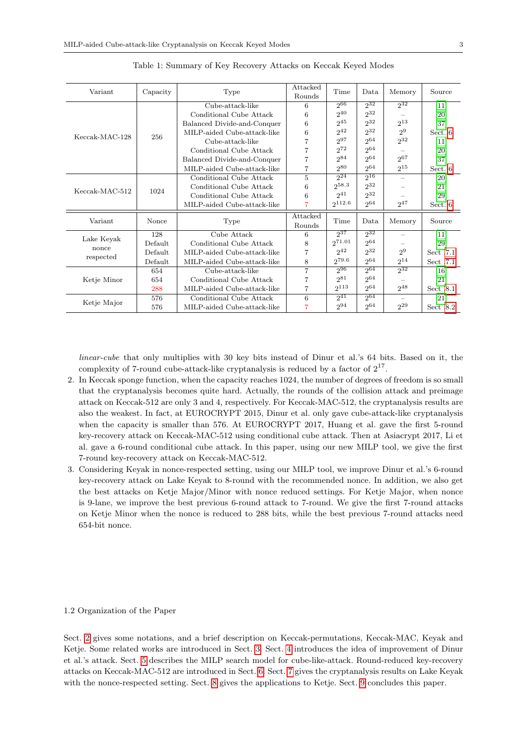<span id="page-2-0"></span>

| Variant        | Capacity | Type                        | Attacked<br>Rounds | Time     | Data.    | Memory          | Source            |  |
|----------------|----------|-----------------------------|--------------------|----------|----------|-----------------|-------------------|--|
|                |          | Cube-attack-like            | 6                  | 266      | $2^{32}$ | $2^{32}$        | $[11]$            |  |
|                |          | Conditional Cube Attack     | 6                  | $2^{40}$ | $2^{32}$ |                 | [20]              |  |
|                |          | Balanced Divide-and-Conquer | 6                  | $2^{45}$ | $2^{32}$ | $2^{13}$        | $\left[37\right]$ |  |
|                |          | MILP-aided Cube-attack-like | 6                  | $2^{42}$ | $2^{32}$ | 2 <sup>9</sup>  | Sect. 6           |  |
| Keccak-MAC-128 | 256      | Cube-attack-like            | $\overline{7}$     | $2^{97}$ | 2064     | $2^{32}$        | $[11]$            |  |
|                |          | Conditional Cube Attack     | 7                  | $2^{72}$ | 264      |                 | [20]              |  |
|                |          | Balanced Divide-and-Conquer | $\overline{7}$     | 284      | 264      | 267             | $\left[37\right]$ |  |
|                |          | MILP-aided Cube-attack-like | 7                  | 280      | 264      | $2^{15}$        | Sect. 6           |  |
|                |          | Conditional Cube Attack     | 5                  | $2^{24}$ | $2^{16}$ |                 | [20]              |  |
| Keccak-MAC-512 | 1024     | Conditional Cube Attack     | 6                  | 258.3    | $2^{32}$ |                 | $\left[21\right]$ |  |
|                |          | Conditional Cube Attack     | 6                  | $2^{41}$ | $2^{32}$ |                 | [29]              |  |
|                |          | MILP-aided Cube-attack-like | 7                  | 2112.6   | 2064     | $2^{47}$        | Sect. 6           |  |
|                |          |                             | Attacked           |          |          |                 |                   |  |
| Variant        | Nonce    | Type                        | Rounds             | Time     | Data.    | Memory          | Source            |  |
|                | 128      | Cube Attack                 | 6                  | $2^{37}$ | $2^{32}$ |                 | $[11]$            |  |
| Lake Keyak     | Default  | Conditional Cube Attack     | 8                  | 971.01   | 264      |                 | [29]              |  |
| nonce          | Default  | MILP-aided Cube-attack-like | 7                  | $2^{42}$ | $2^{32}$ | 2 <sup>9</sup>  | Sect. 7.1         |  |
| respected      | Default  | MILP-aided Cube-attack-like | 8                  | 279.6    | 264      | $2^{14}$        | Sect .7.1         |  |
|                | 654      | Cube-attack-like            | $\overline{7}$     | 296      | 264      | 232             | [16]              |  |
| Ketje Minor    | 654      | Conditional Cube Attack     | 7                  | 281      | 264      |                 | [21]              |  |
|                | 288      | MILP-aided Cube-attack-like | $\overline{7}$     | 2113     | $2^{64}$ | $2^{48}$        | Sect .8.1         |  |
|                | 576      | Conditional Cube Attack     | 6                  | $2^{41}$ | 2,64     |                 | [21]              |  |
| Ketje Major    | 576      | MILP-aided Cube-attack-like | 7                  | 2.94     | $2^{64}$ | 2 <sup>29</sup> | Sect .8.2         |  |

| Table 1: Summary of Key Recovery Attacks on Keccak Keyed Modes |  |  |
|----------------------------------------------------------------|--|--|
|----------------------------------------------------------------|--|--|

linear-cube that only multiplies with 30 key bits instead of Dinur et al.'s 64 bits. Based on it, the complexity of 7-round cube-attack-like cryptanalysis is reduced by a factor of  $2^{17}$ .

- 2. In Keccak sponge function, when the capacity reaches 1024, the number of degrees of freedom is so small that the cryptanalysis becomes quite hard. Actually, the rounds of the collision attack and preimage attack on Keccak-512 are only 3 and 4, respectively. For Keccak-MAC-512, the cryptanalysis results are also the weakest. In fact, at EUROCRYPT 2015, Dinur et al. only gave cube-attack-like cryptanalysis when the capacity is smaller than 576. At EUROCRYPT 2017, Huang et al. gave the first 5-round key-recovery attack on Keccak-MAC-512 using conditional cube attack. Then at Asiacrypt 2017, Li et al. gave a 6-round conditional cube attack. In this paper, using our new MILP tool, we give the first 7-round key-recovery attack on Keccak-MAC-512.
- 3. Considering Keyak in nonce-respected setting, using our MILP tool, we improve Dinur et al.'s 6-round key-recovery attack on Lake Keyak to 8-round with the recommended nonce. In addition, we also get the best attacks on Ketje Major/Minor with nonce reduced settings. For Ketje Major, when nonce is 9-lane, we improve the best previous 6-round attack to 7-round. We give the first 7-round attacks on Ketje Minor when the nonce is reduced to 288 bits, while the best previous 7-round attacks need 654-bit nonce.

1.2 Organization of the Paper

Sect. [2](#page-3-0) gives some notations, and a brief description on Keccak-permutations, Keccak-MAC, Keyak and Ketje. Some related works are introduced in Sect. [3.](#page-5-0) Sect. [4](#page-6-0) introduces the idea of improvement of Dinur et al.'s attack. Sect. [5](#page-7-0) describes the MILP search model for cube-like-attack. Round-reduced key-recovery attacks on Keccak-MAC-512 are introduced in Sect. [6.](#page-8-0) Sect. [7](#page-9-0) gives the cryptanalysis results on Lake Keyak with the nonce-respected setting. Sect. [8](#page-10-2) gives the applications to Ketje. Sect. [9](#page-11-3) concludes this paper.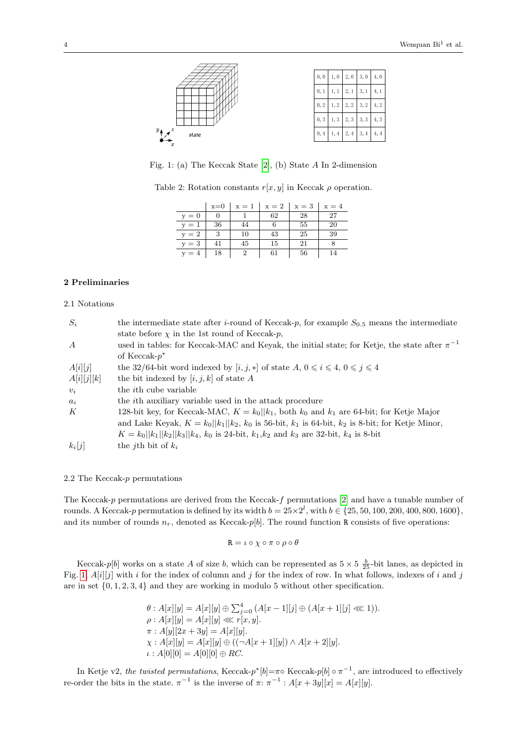<span id="page-3-1"></span>

<span id="page-3-2"></span>Fig. 1: (a) The Keccak State [\[2\]](#page-11-1), (b) State A In 2-dimension

Table 2: Rotation constants  $r[x, y]$  in Keccak  $\rho$  operation.

|         | $x=0$ | $x = 1$ | $x = 2$ | $x = 3$ | $x = 4$ |
|---------|-------|---------|---------|---------|---------|
| $y = 0$ |       |         | 62      | 28      | 27      |
| $y = 1$ | 36    | 44      |         | 55      | 20      |
| $y = 2$ | 3     | 10      | 43      | 25      | 39      |
| $y = 3$ | 41    | 45      | 15      | 21      |         |
| $v = 4$ | 18    | 2       | 61      | 56      | 14      |

### <span id="page-3-0"></span>2 Preliminaries

## 2.1 Notations

| $S_i$            | the intermediate state after <i>i</i> -round of Keccak-p, for example $S_{0.5}$ means the intermediate   |
|------------------|----------------------------------------------------------------------------------------------------------|
|                  | state before $\chi$ in the 1st round of Keccak-p,                                                        |
| $\boldsymbol{A}$ | used in tables: for Keccak-MAC and Keyak, the initial state; for Ketje, the state after $\pi^{-1}$       |
|                  | of Keccak- $p^*$                                                                                         |
| A[i][j]          | the 32/64-bit word indexed by $[i,j,*]$ of state $A,\,0\leqslant i\leqslant 4,\,0\leqslant j\leqslant 4$ |
| A[i][j][k]       | the bit indexed by $[i, j, k]$ of state A                                                                |
| $v_i$            | the <i>i</i> th cube variable                                                                            |
| $a_i$            | the <i>i</i> th auxiliary variable used in the attack procedure                                          |
| К                | 128-bit key, for Keccak-MAC, $K = k_0  k_1$ , both $k_0$ and $k_1$ are 64-bit; for Ketje Major           |
|                  | and Lake Keyak, $K = k_0  k_1  k_2$ , $k_0$ is 56-bit, $k_1$ is 64-bit, $k_2$ is 8-bit; for Ketje Minor, |
|                  | $K = k_0  k_1  k_2  k_3  k_4$ , $k_0$ is 24-bit, $k_1, k_2$ and $k_3$ are 32-bit, $k_4$ is 8-bit         |
| $k_i[j]$         | the <i>i</i> th bit of $k_i$                                                                             |

# 2.2 The Keccak-p permutations

The Keccak-p permutations are derived from the Keccak-f permutations [\[2\]](#page-11-1) and have a tunable number of rounds. A Keccak-p permutation is defined by its width  $b = 25 \times 2^l$ , with  $b \in \{25, 50, 100, 200, 400, 800, 1600\}$ , and its number of rounds  $n_r$ , denoted as Keccak-p[b]. The round function R consists of five operations:

# $\mathtt{R} = \iota \circ \chi \circ \pi \circ \rho \circ \theta$

Keccak-p[b] works on a state A of size b, which can be represented as  $5 \times 5 \frac{b}{25}$ -bit lanes, as depicted in Fig. [1,](#page-3-1)  $A[i][j]$  with i for the index of column and j for the index of row. In what follows, indexes of i and j are in set  $\{0, 1, 2, 3, 4\}$  and they are working in modulo 5 without other specification.

$$
\theta : A[x][y] = A[x][y] \oplus \sum_{j=0}^{4} (A[x-1][j] \oplus (A[x+1][j] \ll 1)).
$$
  
\n
$$
\rho : A[x][y] = A[x][y] \ll r[x, y].
$$
  
\n
$$
\pi : A[y][2x + 3y] = A[x][y].
$$
  
\n
$$
\chi : A[x][y] = A[x][y] \oplus ((\neg A[x+1][y]) \wedge A[x+2][y].
$$
  
\n
$$
\iota : A[0][0] = A[0][0] \oplus RC.
$$

In Ketje v2, the twisted permutations, Keccak- $p^*[b] = \pi \circ \text{Keccak}-p[b] \circ \pi^{-1}$ , are introduced to effectively re-order the bits in the state.  $\pi^{-1}$  is the inverse of  $\pi: \pi^{-1}: A[x+3y][x] = A[x][y]$ .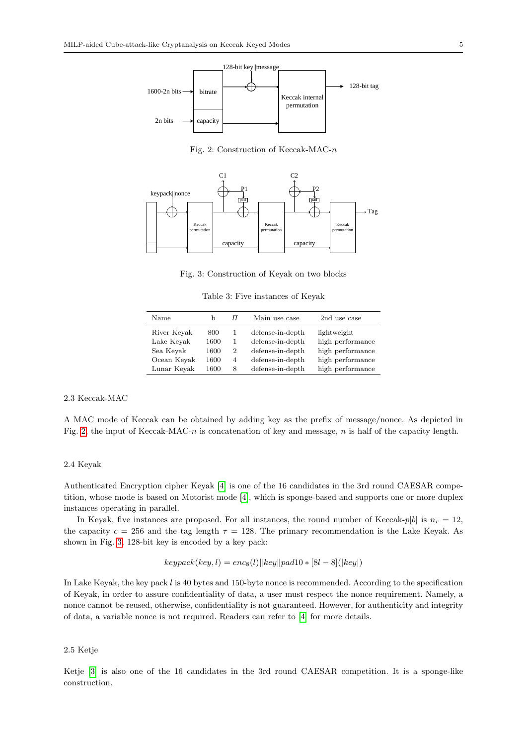<span id="page-4-0"></span>

Fig. 2. Construction of Keccak-MAC-n Fig. 2: Construction of Keccak-MAC-n

<span id="page-4-1"></span>

Fig. 3: Construction of Keyak on two blocks

Table 3: Five instances of Keyak

| Name        | h    | Π                           | Main use case    | 2nd use case     |
|-------------|------|-----------------------------|------------------|------------------|
| River Keyak | 800  | -1                          | defense-in-depth | lightweight      |
| Lake Keyak  | 1600 | 1                           | defense-in-depth | high performance |
| Sea Keyak   | 1600 | $\mathcal{D}_{\mathcal{L}}$ | defense-in-depth | high performance |
| Ocean Keyak | 1600 | 4                           | defense-in-depth | high performance |
| Lunar Keyak | 1600 | 8                           | defense-in-depth | high performance |

## 2.3 Keccak-MAC

A MAC mode of Keccak can be obtained by adding key as the prefix of message/nonce. As depicted in Fig. [2,](#page-4-0) the input of Keccak-MAC-n is concatenation of key and message, n is half of the capacity length.

# 2.4 Keyak

Authenticated Encryption cipher Keyak [\[4\]](#page-11-4) is one of the 16 candidates in the 3rd round CAESAR compeinstances operating in parallel. tition, whose mode is based on Motorist mode [\[4\]](#page-11-4), which is sponge-based and supports one or more duplex<br>instances operating in parallel.

In Keyak, five instances are proposed. For all instances, the round number of Keccak-p[b] is  $n_r = 12$ , shown in Fig. [3,](#page-4-1) 128-bit key is encoded by a key pack: the capacity  $c = 256$  and the tag length  $\tau = 128$ . The primary recommendation is the Lake Keyak. As

$$
keypack(key, l) = enc_8(l)||key||pad10*[8l - 8](|key|)
$$

In Lake Keyak, the key pack l is 40 bytes and 150-byte nonce is recommended. According to the specification of Keyak, in order to assure confidentiality of data, a user must respect the nonce requirement. Namely, a nonce cannot be reused, otherwise, confidentiality is not guaranteed. However, for authenticity and integrity of data, a variable nonce is not required. Readers can refer to [\[4\]](#page-11-4) for more details.

#### 2.5 Ketje

Ketje [\[3\]](#page-11-0) is also one of the 16 candidates in the 3rd round CAESAR competition. It is a sponge-like construction.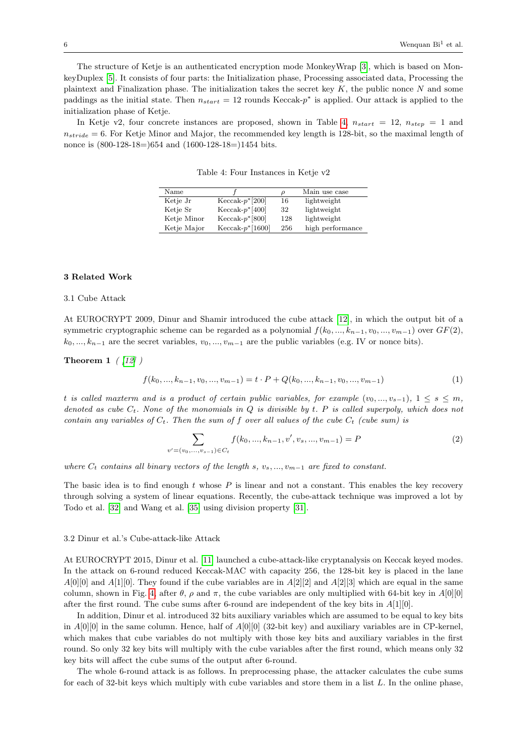The structure of Ketje is an authenticated encryption mode MonkeyWrap [\[3\]](#page-11-0), which is based on MonkeyDuplex [\[5\]](#page-11-5). It consists of four parts: the Initialization phase, Processing associated data, Processing the plaintext and Finalization phase. The initialization takes the secret key  $K$ , the public nonce  $N$  and some paddings as the initial state. Then  $n_{start} = 12$  rounds Keccak- $p^*$  is applied. Our attack is applied to the initialization phase of Ketje.

<span id="page-5-1"></span>In Ketje v2, four concrete instances are proposed, shown in Table [4,](#page-5-1)  $n_{start} = 12$ ,  $n_{step} = 1$  and  $n_{stride} = 6$ . For Ketje Minor and Major, the recommended key length is 128-bit, so the maximal length of nonce is  $(800-128-18=)654$  and  $(1600-128-18=)1454$  bits.

Table 4: Four Instances in Ketje v2

| Name        |                    | ρ   | Main use case    |
|-------------|--------------------|-----|------------------|
| Ketje Jr    | $Keccak-p*[200]$   | 16  | lightweight      |
| Ketje Sr    | $Keccak-p*$ [400]  | 32  | lightweight      |
| Ketje Minor | $Keccak-p*$ [800]  | 128 | lightweight      |
| Ketje Major | Keccak- $p*[1600]$ | 256 | high performance |

# <span id="page-5-0"></span>3 Related Work

# 3.1 Cube Attack

At EUROCRYPT 2009, Dinur and Shamir introduced the cube attack [\[12\]](#page-12-29), in which the output bit of a symmetric cryptographic scheme can be regarded as a polynomial  $f(k_0, ..., k_{n-1}, v_0, ..., v_{m-1})$  over  $GF(2)$ ,  $k_0, ..., k_{n-1}$  are the secret variables,  $v_0, ..., v_{m-1}$  are the public variables (e.g. IV or nonce bits).

Theorem 1  $($  [\[12\]](#page-12-29)  $)$ 

$$
f(k_0, ..., k_{n-1}, v_0, ..., v_{m-1}) = t \cdot P + Q(k_0, ..., k_{n-1}, v_0, ..., v_{m-1})
$$
\n
$$
(1)
$$

t is called maxterm and is a product of certain public variables, for example  $(v_0, ..., v_{s-1}), 1 \leq s \leq m$ , denoted as cube  $C_t$ . None of the monomials in  $Q$  is divisible by  $t$ . P is called superpoly, which does not contain any variables of  $C_t$ . Then the sum of f over all values of the cube  $C_t$  (cube sum) is

$$
\sum_{v'=(v_0,\ldots,v_{s-1})\in C_t} f(k_0,\ldots,k_{n-1},v',v_s,\ldots,v_{m-1}) = P
$$
\n(2)

where  $C_t$  contains all binary vectors of the length s,  $v_s, ..., v_{m-1}$  are fixed to constant.

The basic idea is to find enough  $t$  whose  $P$  is linear and not a constant. This enables the key recovery through solving a system of linear equations. Recently, the cube-attack technique was improved a lot by Todo et al. [\[32\]](#page-12-30) and Wang et al. [\[35\]](#page-12-31) using division property [\[31\]](#page-12-32).

#### 3.2 Dinur et al.'s Cube-attack-like Attack

At EUROCRYPT 2015, Dinur et al. [\[11\]](#page-12-12) launched a cube-attack-like cryptanalysis on Keccak keyed modes. In the attack on 6-round reduced Keccak-MAC with capacity 256, the 128-bit key is placed in the lane  $A[0][0]$  and  $A[1][0]$ . They found if the cube variables are in  $A[2][2]$  and  $A[2][3]$  which are equal in the same column, shown in Fig. [4,](#page-6-1) after  $\theta$ ,  $\rho$  and  $\pi$ , the cube variables are only multiplied with 64-bit key in  $A[0][0]$ after the first round. The cube sums after 6-round are independent of the key bits in  $A[1][0]$ .

In addition, Dinur et al. introduced 32 bits auxiliary variables which are assumed to be equal to key bits in  $A[0][0]$  in the same column. Hence, half of  $A[0][0]$  (32-bit key) and auxiliary variables are in CP-kernel, which makes that cube variables do not multiply with those key bits and auxiliary variables in the first round. So only 32 key bits will multiply with the cube variables after the first round, which means only 32 key bits will affect the cube sums of the output after 6-round.

The whole 6-round attack is as follows. In preprocessing phase, the attacker calculates the cube sums for each of 32-bit keys which multiply with cube variables and store them in a list L. In the online phase,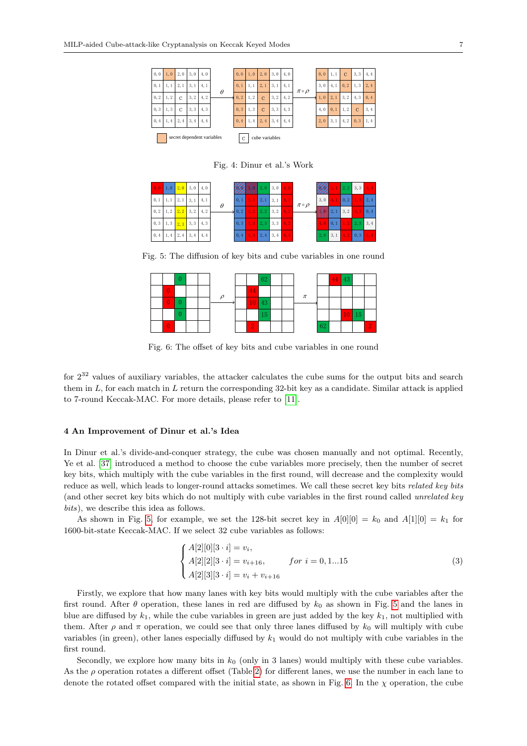<span id="page-6-1"></span>

Fig. 4: Dinur et al.'s Work

<span id="page-6-2"></span>

| 0,0                |      |                       |             | $1,0$ $2,0$ 3, 0 4, 0                                                 |          | $\begin{array}{ c c c c c }\n\hline\n\text{10} & 2,0 & 3,0 & \text{20} \\ \hline\n\end{array}$ |               |                      |                   | 4.0  |                  | 8B) |                    |      | $1, 1$ $2, 2$ $3, 3$ | 4, 4 |
|--------------------|------|-----------------------|-------------|-----------------------------------------------------------------------|----------|------------------------------------------------------------------------------------------------|---------------|----------------------|-------------------|------|------------------|-----|--------------------|------|----------------------|------|
| $\{0, 1\}$         |      | $1, 1 \mid 2, 1 \mid$ | 3, 1        | 4,1                                                                   |          | 0, 1                                                                                           | 1, 1          | 2,1                  | $\vert 3.1 \vert$ | 4, 1 | $\pi \circ \rho$ | 3,0 | 4, 1               | 0, 2 | 1, 3                 | 2,4  |
| $\vert 0, 2 \vert$ | 1, 2 |                       | $2, 2$ 3, 2 | 4, 2                                                                  | $\theta$ | $\rightarrow 0, 2$                                                                             | $1, 2$ $2, 2$ |                      | 3.2               | 4.2  |                  |     | $\P_{2,1}$         | 3, 2 | (4, 3)               | 0, 4 |
| 0, 3               | 1, 3 |                       |             | $\begin{array}{ c c c c c c c c } \hline 2,3 & 3,3 & 4,3 \end{array}$ |          | 0, 3                                                                                           |               | $1, 3 \ 2, 3 \ 3, 3$ |                   | 4, 3 |                  | 4.0 | $\vert 0, 1 \vert$ |      | $1, 2$ 2, 3          | 3,4  |
| $10, 4$ ]          |      |                       |             | $1, 4 \mid 2, 4 \mid 3, 4 \mid 4, 4$                                  |          | 0, 4                                                                                           |               |                      | $1, 4$ 2, 4 3, 4  | 4,4  |                  | 2.0 | 3, 1               |      | $4, 2$ 0, 3          | 1,4  |

<span id="page-6-3"></span>Fig. 5: The diffusion of key bits and cube variables in one round

|                | Ω        |  |          |                | 62 |  |       |    | 44 | 43 |    |                |
|----------------|----------|--|----------|----------------|----|--|-------|----|----|----|----|----------------|
| $\overline{0}$ |          |  | $\Omega$ | 44             |    |  | $\pi$ |    |    |    |    |                |
| $\overline{0}$ | $\Omega$ |  |          | 10             | 43 |  |       |    |    |    |    |                |
|                |          |  |          |                | 15 |  |       |    |    | 10 | 15 |                |
| $\overline{0}$ |          |  |          | $\overline{2}$ |    |  |       | 62 |    |    |    | $\overline{2}$ |

Fig. 6: The offset of key bits and cube variables in one round

for 2<sup>32</sup> values of auxiliary variables, the attacker calculates the cube sums for the output bits and search them in  $L$ , for each match in  $L$  return the corresponding 32-bit key as a candidate. Similar attack is applied to 7-round Keccak-MAC. For more details, please refer to [\[11\]](#page-12-12).

# <span id="page-6-0"></span>4 An Improvement of Dinur et al.'s Idea

In Dinur et al.'s divide-and-conquer strategy, the cube was chosen manually and not optimal. Recently, Ye et al. [\[37\]](#page-12-28) introduced a method to choose the cube variables more precisely, then the number of secret key bits, which multiply with the cube variables in the first round, will decrease and the complexity would reduce as well, which leads to longer-round attacks sometimes. We call these secret key bits related key bits (and other secret key bits which do not multiply with cube variables in the first round called unrelated key bits), we describe this idea as follows.

As shown in Fig. [5,](#page-6-2) for example, we set the 128-bit secret key in  $A[0][0] = k_0$  and  $A[1][0] = k_1$  for 1600-bit-state Keccak-MAC. If we select 32 cube variables as follows:

$$
\begin{cases}\nA[2][0][3 \cdot i] = v_i, \\
A[2][2][3 \cdot i] = v_{i+16}, & \text{for } i = 0, 1...15 \\
A[2][3][3 \cdot i] = v_i + v_{i+16}\n\end{cases}
$$
\n(3)

Firstly, we explore that how many lanes with key bits would multiply with the cube variables after the first round. After  $\theta$  operation, these lanes in red are diffused by  $k_0$  as shown in Fig. [5](#page-6-2) and the lanes in blue are diffused by  $k_1$ , while the cube variables in green are just added by the key  $k_1$ , not multiplied with them. After  $\rho$  and  $\pi$  operation, we could see that only three lanes diffused by  $k_0$  will multiply with cube variables (in green), other lanes especially diffused by  $k_1$  would do not multiply with cube variables in the first round.

Secondly, we explore how many bits in  $k_0$  (only in 3 lanes) would multiply with these cube variables. As the  $\rho$  operation rotates a different offset (Table [2\)](#page-3-2) for different lanes, we use the number in each lane to denote the rotated offset compared with the initial state, as shown in Fig. [6.](#page-6-3) In the  $\chi$  operation, the cube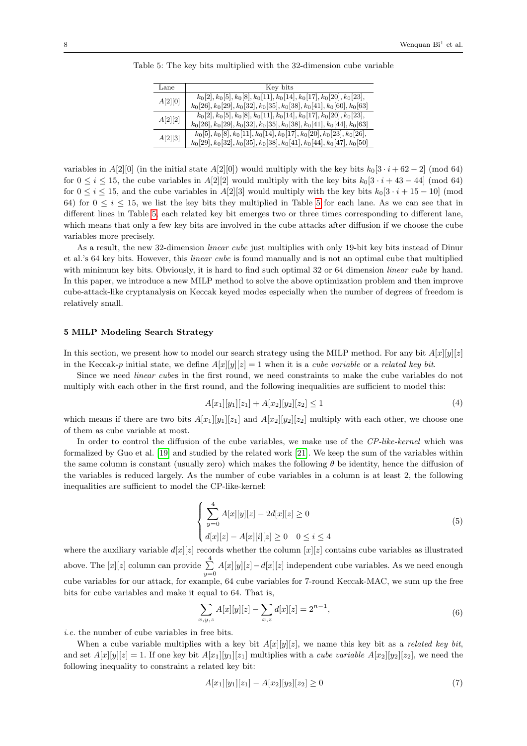| Lane    | Key bits                                                                 |
|---------|--------------------------------------------------------------------------|
|         | $k_0[2], k_0[5], k_0[8], k_0[11], k_0[14], k_0[17], k_0[20], k_0[23],$   |
| A[2][0] | $k_0[26], k_0[29], k_0[32], k_0[35], k_0[38], k_0[41], k_0[60], k_0[63]$ |
| A[2][2] | $k_0[2], k_0[5], k_0[8], k_0[11], k_0[14], k_0[17], k_0[20], k_0[23],$   |
|         | $k_0[26], k_0[29], k_0[32], k_0[35], k_0[38], k_0[41], k_0[44], k_0[63]$ |
|         | $k_0[5], k_0[8], k_0[11], k_0[14], k_0[17], k_0[20], k_0[23], k_0[26],$  |
| A[2][3] | $k_0[29], k_0[32], k_0[35], k_0[38], k_0[41], k_0[44], k_0[47], k_0[50]$ |

<span id="page-7-1"></span>Table 5: The key bits multiplied with the 32-dimension cube variable

variables in A[2][0] (in the initial state A[2][0]) would multiply with the key bits  $k_0[3 \cdot i + 62 - 2] \pmod{64}$ for  $0 \leq i \leq 15$ , the cube variables in A[2][2] would multiply with the key bits  $k_0[3 \cdot i + 43 - 44]$  (mod 64) for  $0 \leq i \leq 15$ , and the cube variables in A[2][3] would multiply with the key bits  $k_0[3 \cdot i + 15 - 10]$  (mod 64) for  $0 \leq i \leq 15$ , we list the key bits they multiplied in Table [5](#page-7-1) for each lane. As we can see that in different lines in Table [5,](#page-7-1) each related key bit emerges two or three times corresponding to different lane, which means that only a few key bits are involved in the cube attacks after diffusion if we choose the cube variables more precisely.

As a result, the new 32-dimension linear cube just multiplies with only 19-bit key bits instead of Dinur et al.'s 64 key bits. However, this linear cube is found manually and is not an optimal cube that multiplied with minimum key bits. Obviously, it is hard to find such optimal 32 or 64 dimension *linear cube* by hand. In this paper, we introduce a new MILP method to solve the above optimization problem and then improve cube-attack-like cryptanalysis on Keccak keyed modes especially when the number of degrees of freedom is relatively small.

### <span id="page-7-0"></span>5 MILP Modeling Search Strategy

In this section, we present how to model our search strategy using the MILP method. For any bit  $A[x][y][z]$ in the Keccak-p initial state, we define  $A[x][y][z] = 1$  when it is a *cube variable* or a *related key bit.* 

Since we need *linear cubes* in the first round, we need constraints to make the cube variables do not multiply with each other in the first round, and the following inequalities are sufficient to model this:

$$
A[x_1][y_1][z_1] + A[x_2][y_2][z_2] \le 1\tag{4}
$$

which means if there are two bits  $A[x_1][y_1][z_1]$  and  $A[x_2][y_2][z_2]$  multiply with each other, we choose one of them as cube variable at most.

In order to control the diffusion of the cube variables, we make use of the CP-like-kernel which was formalized by Guo et al. [\[19\]](#page-12-5) and studied by the related work [\[21\]](#page-12-26). We keep the sum of the variables within the same column is constant (usually zero) which makes the following  $\theta$  be identity, hence the diffusion of the variables is reduced largely. As the number of cube variables in a column is at least 2, the following inequalities are sufficient to model the CP-like-kernel:

$$
\begin{cases}\n\sum_{y=0}^{4} A[x][y][z] - 2d[x][z] \ge 0 \\
d[x][z] - A[x][i][z] \ge 0 \quad 0 \le i \le 4\n\end{cases}
$$
\n(5)

where the auxiliary variable  $d[x][z]$  records whether the column  $[x][z]$  contains cube variables as illustrated above. The  $[x][z]$  column can provide  $\sum_{y=0}^{4} A[x][y][z] - d[x][z]$  independent cube variables. As we need enough cube variables for our attack, for example, 64 cube variables for 7-round Keccak-MAC, we sum up the free bits for cube variables and make it equal to 64. That is,

$$
\sum_{x,y,z} A[x][y][z] - \sum_{x,z} d[x][z] = 2^{n-1},\tag{6}
$$

i.e. the number of cube variables in free bits.

When a cube variable multiplies with a key bit  $A[x][y][z]$ , we name this key bit as a *related key bit*, and set  $A[x][y][z] = 1$ . If one key bit  $A[x1][y1][z1]$  multiplies with a *cube variable*  $A[x2][y2][z2]$ , we need the following inequality to constraint a related key bit: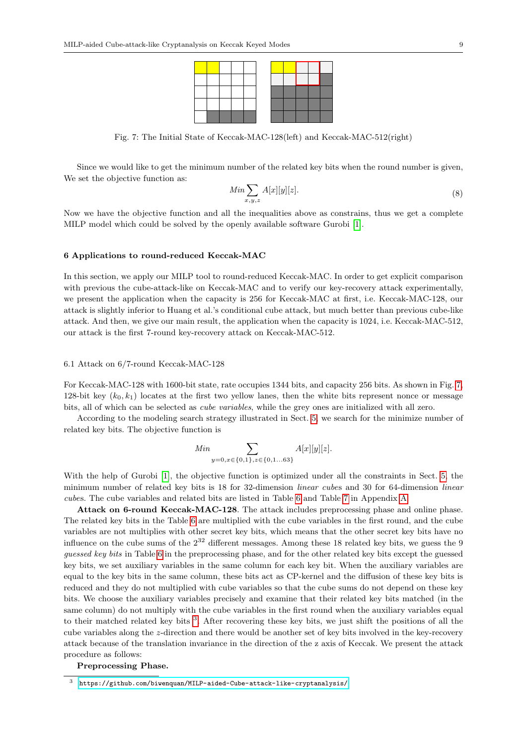

<span id="page-8-1"></span>Fig. 7: The Initial State of Keccak-MAC-128(left) and Keccak-MAC-512(right)

Since we would like to get the minimum number of the related key bits when the round number is given, We set the objective function as:

$$
Min \sum_{x,y,z} A[x][y][z]. \tag{8}
$$

Now we have the objective function and all the inequalities above as constrains, thus we get a complete MILP model which could be solved by the openly available software Gurobi [\[1\]](#page-11-6).

# <span id="page-8-0"></span>6 Applications to round-reduced Keccak-MAC

In this section, we apply our MILP tool to round-reduced Keccak-MAC. In order to get explicit comparison with previous the cube-attack-like on Keccak-MAC and to verify our key-recovery attack experimentally, we present the application when the capacity is 256 for Keccak-MAC at first, i.e. Keccak-MAC-128, our attack is slightly inferior to Huang et al.'s conditional cube attack, but much better than previous cube-like attack. And then, we give our main result, the application when the capacity is 1024, i.e. Keccak-MAC-512, our attack is the first 7-round key-recovery attack on Keccak-MAC-512.

# 6.1 Attack on 6/7-round Keccak-MAC-128

For Keccak-MAC-128 with 1600-bit state, rate occupies 1344 bits, and capacity 256 bits. As shown in Fig. [7,](#page-8-1) 128-bit key  $(k_0, k_1)$  locates at the first two yellow lanes, then the white bits represent nonce or message bits, all of which can be selected as cube variables, while the grey ones are initialized with all zero.

According to the modeling search strategy illustrated in Sect. [5,](#page-7-0) we search for the minimize number of related key bits. The objective function is

$$
Min \sum_{y=0, x \in \{0,1\}, z \in \{0,1...63\}} A[x][y][z].
$$

With the help of Gurobi [\[1\]](#page-11-6), the objective function is optimized under all the constraints in Sect. [5,](#page-7-0) the minimum number of related key bits is 18 for 32-dimension linear cubes and 30 for 64-dimension linear cubes. The cube variables and related bits are listed in Table [6](#page-13-0) and Table [7](#page-13-1) in Appendix [A.](#page-13-2)

Attack on 6-round Keccak-MAC-128. The attack includes preprocessing phase and online phase. The related key bits in the Table [6](#page-13-0) are multiplied with the cube variables in the first round, and the cube variables are not multiplies with other secret key bits, which means that the other secret key bits have no influence on the cube sums of the  $2^{32}$  different messages. Among these 18 related key bits, we guess the 9 guessed key bits in Table [6](#page-13-0) in the preprocessing phase, and for the other related key bits except the guessed key bits, we set auxiliary variables in the same column for each key bit. When the auxiliary variables are equal to the key bits in the same column, these bits act as CP-kernel and the diffusion of these key bits is reduced and they do not multiplied with cube variables so that the cube sums do not depend on these key bits. We choose the auxiliary variables precisely and examine that their related key bits matched (in the same column) do not multiply with the cube variables in the first round when the auxiliary variables equal to their matched related key bits<sup>[3](#page-8-2)</sup>. After recovering these key bits, we just shift the positions of all the cube variables along the z-direction and there would be another set of key bits involved in the key-recovery attack because of the translation invariance in the direction of the z axis of Keccak. We present the attack procedure as follows:

# Preprocessing Phase.

<span id="page-8-2"></span> $^3$ <https://github.com/biwenquan/MILP-aided-Cube-attack-like-cryptanalysis/>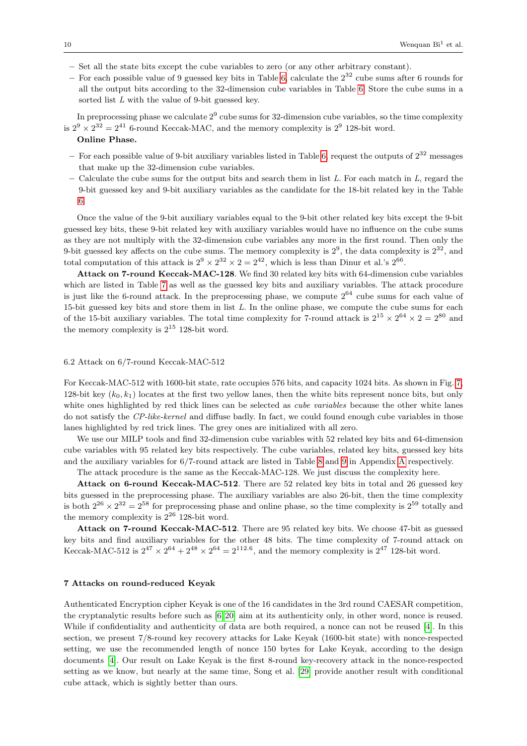- Set all the state bits except the cube variables to zero (or any other arbitrary constant).
- For each possible value of 9 guessed key bits in Table [6,](#page-13-0) calculate the  $2^{32}$  cube sums after 6 rounds for all the output bits according to the 32-dimension cube variables in Table [6.](#page-13-0) Store the cube sums in a sorted list L with the value of 9-bit guessed key.

In preprocessing phase we calculate  $2^9$  cube sums for 32-dimension cube variables, so the time complexity is  $2^9 \times 2^{32} = 2^{41}$  6-round Keccak-MAC, and the memory complexity is  $2^9$  128-bit word.

#### Online Phase.

- For each possible value of 9-bit auxiliary variables listed in Table [6,](#page-13-0) request the outputs of  $2^{32}$  messages that make up the 32-dimension cube variables.
- $-$  Calculate the cube sums for the output bits and search them in list L. For each match in L, regard the 9-bit guessed key and 9-bit auxiliary variables as the candidate for the 18-bit related key in the Table [6.](#page-13-0)

Once the value of the 9-bit auxiliary variables equal to the 9-bit other related key bits except the 9-bit guessed key bits, these 9-bit related key with auxiliary variables would have no influence on the cube sums as they are not multiply with the 32-dimension cube variables any more in the first round. Then only the 9-bit guessed key affects on the cube sums. The memory complexity is  $2^9$ , the data complexity is  $2^{32}$ , and total computation of this attack is  $2^9 \times 2^{32} \times 2 = 2^{42}$ , which is less than Dinur et al.'s  $2^{66}$ .

Attack on 7-round Keccak-MAC-128. We find 30 related key bits with 64-dimension cube variables which are listed in Table [7](#page-13-1) as well as the guessed key bits and auxiliary variables. The attack procedure is just like the 6-round attack. In the preprocessing phase, we compute  $2^{64}$  cube sums for each value of 15-bit guessed key bits and store them in list  $L$ . In the online phase, we compute the cube sums for each of the 15-bit auxiliary variables. The total time complexity for 7-round attack is  $2^{15} \times 2^{64} \times 2 = 2^{80}$  and the memory complexity is  $2^{15}$  128-bit word.

## 6.2 Attack on 6/7-round Keccak-MAC-512

For Keccak-MAC-512 with 1600-bit state, rate occupies 576 bits, and capacity 1024 bits. As shown in Fig. [7,](#page-8-1) 128-bit key  $(k_0, k_1)$  locates at the first two yellow lanes, then the white bits represent nonce bits, but only white ones highlighted by red thick lines can be selected as *cube variables* because the other white lanes do not satisfy the CP-like-kernel and diffuse badly. In fact, we could found enough cube variables in those lanes highlighted by red trick lines. The grey ones are initialized with all zero.

We use our MILP tools and find 32-dimension cube variables with 52 related key bits and 64-dimension cube variables with 95 related key bits respectively. The cube variables, related key bits, guessed key bits and the auxiliary variables for 6/7-round attack are listed in Table [8](#page-14-0) and [9](#page-14-1) in Appendix [A](#page-13-2) respectively.

The attack procedure is the same as the Keccak-MAC-128. We just discuss the complexity here.

Attack on 6-round Keccak-MAC-512. There are 52 related key bits in total and 26 guessed key bits guessed in the preprocessing phase. The auxiliary variables are also 26-bit, then the time complexity is both  $2^{26} \times 2^{32} = 2^{58}$  for preprocessing phase and online phase, so the time complexity is  $2^{59}$  totally and the memory complexity is  $2^{26}$  128-bit word.

Attack on 7-round Keccak-MAC-512. There are 95 related key bits. We choose 47-bit as guessed key bits and find auxiliary variables for the other 48 bits. The time complexity of 7-round attack on Keccak-MAC-512 is  $2^{47} \times 2^{64} + 2^{48} \times 2^{64} = 2^{112.6}$ , and the memory complexity is  $2^{47}$  128-bit word.

#### <span id="page-9-0"></span>7 Attacks on round-reduced Keyak

Authenticated Encryption cipher Keyak is one of the 16 candidates in the 3rd round CAESAR competition, the cryptanalytic results before such as [\[6,](#page-12-33) [20\]](#page-12-16) aim at its authenticity only, in other word, nonce is reused. While if confidentiality and authenticity of data are both required, a nonce can not be reused [\[4\]](#page-11-4). In this section, we present 7/8-round key recovery attacks for Lake Keyak (1600-bit state) with nonce-respected setting, we use the recommended length of nonce 150 bytes for Lake Keyak, according to the design documents [\[4\]](#page-11-4). Our result on Lake Keyak is the first 8-round key-recovery attack in the nonce-respected setting as we know, but nearly at the same time, Song et al. [\[29\]](#page-12-27) provide another result with conditional cube attack, which is sightly better than ours.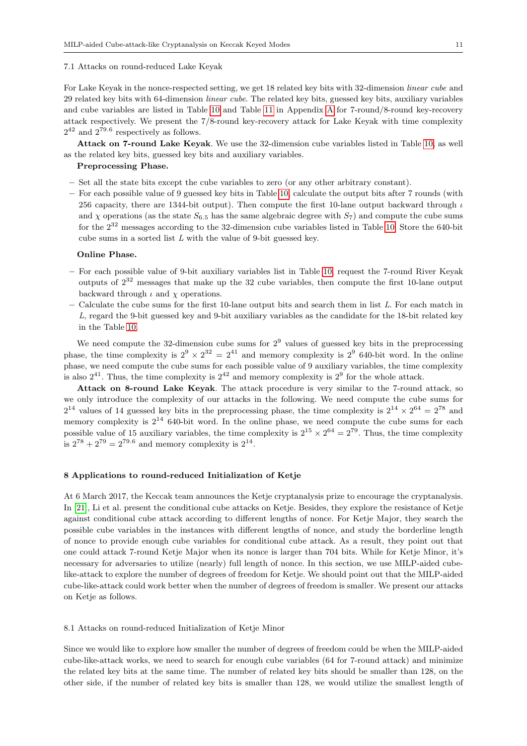#### <span id="page-10-0"></span>7.1 Attacks on round-reduced Lake Keyak

For Lake Keyak in the nonce-respected setting, we get 18 related key bits with 32-dimension linear cube and 29 related key bits with 64-dimension linear cube. The related key bits, guessed key bits, auxiliary variables and cube variables are listed in Table [10](#page-15-0) and Table [11](#page-15-1) in Appendix [A](#page-13-2) for 7-round/8-round key-recovery attack respectively. We present the 7/8-round key-recovery attack for Lake Keyak with time complexity  $2^{42}$  and  $2^{79.6}$  respectively as follows.

Attack on 7-round Lake Keyak. We use the 32-dimension cube variables listed in Table [10,](#page-15-0) as well as the related key bits, guessed key bits and auxiliary variables.

## Preprocessing Phase.

- Set all the state bits except the cube variables to zero (or any other arbitrary constant).
- For each possible value of 9 guessed key bits in Table [10,](#page-15-0) calculate the output bits after 7 rounds (with 256 capacity, there are 1344-bit output). Then compute the first 10-lane output backward through  $\iota$ and  $\chi$  operations (as the state  $S_{6,5}$  has the same algebraic degree with  $S_7$ ) and compute the cube sums for the 2<sup>32</sup> messages according to the 32-dimension cube variables listed in Table [10.](#page-15-0) Store the 640-bit cube sums in a sorted list L with the value of 9-bit guessed key.

#### Online Phase.

- For each possible value of 9-bit auxiliary variables list in Table [10,](#page-15-0) request the 7-round River Keyak outputs of  $2^{32}$  messages that make up the 32 cube variables, then compute the first 10-lane output backward through  $\iota$  and  $\chi$  operations.
- $-$  Calculate the cube sums for the first 10-lane output bits and search them in list  $L$ . For each match in L, regard the 9-bit guessed key and 9-bit auxiliary variables as the candidate for the 18-bit related key in the Table [10.](#page-15-0)

We need compute the 32-dimension cube sums for  $2^9$  values of guessed key bits in the preprocessing phase, the time complexity is  $2^9 \times 2^{32} = 2^{41}$  and memory complexity is  $2^9$  640-bit word. In the online phase, we need compute the cube sums for each possible value of 9 auxiliary variables, the time complexity is also  $2^{41}$ . Thus, the time complexity is  $2^{42}$  and memory complexity is  $2^{9}$  for the whole attack.

Attack on 8-round Lake Keyak. The attack procedure is very similar to the 7-round attack, so we only introduce the complexity of our attacks in the following. We need compute the cube sums for  $2^{14}$  values of 14 guessed key bits in the preprocessing phase, the time complexity is  $2^{14} \times 2^{64} = 2^{78}$  and memory complexity is  $2^{14}$  640-bit word. In the online phase, we need compute the cube sums for each possible value of 15 auxiliary variables, the time complexity is  $2^{15} \times 2^{64} = 2^{79}$ . Thus, the time complexity is  $2^{78} + 2^{79} = 2^{79.6}$  and memory complexity is  $2^{14}$ .

# <span id="page-10-2"></span>8 Applications to round-reduced Initialization of Ketje

At 6 March 2017, the Keccak team announces the Ketje cryptanalysis prize to encourage the cryptanalysis. In [\[21\]](#page-12-26), Li et al. present the conditional cube attacks on Ketje. Besides, they explore the resistance of Ketje against conditional cube attack according to different lengths of nonce. For Ketje Major, they search the possible cube variables in the instances with different lengths of nonce, and study the borderline length of nonce to provide enough cube variables for conditional cube attack. As a result, they point out that one could attack 7-round Ketje Major when its nonce is larger than 704 bits. While for Ketje Minor, it's necessary for adversaries to utilize (nearly) full length of nonce. In this section, we use MILP-aided cubelike-attack to explore the number of degrees of freedom for Ketje. We should point out that the MILP-aided cube-like-attack could work better when the number of degrees of freedom is smaller. We present our attacks on Ketje as follows.

#### <span id="page-10-1"></span>8.1 Attacks on round-reduced Initialization of Ketje Minor

Since we would like to explore how smaller the number of degrees of freedom could be when the MILP-aided cube-like-attack works, we need to search for enough cube variables (64 for 7-round attack) and minimize the related key bits at the same time. The number of related key bits should be smaller than 128, on the other side, if the number of related key bits is smaller than 128, we would utilize the smallest length of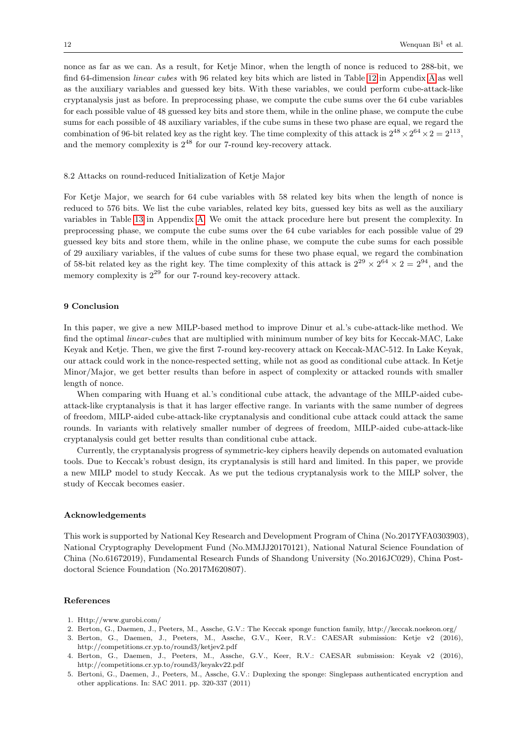nonce as far as we can. As a result, for Ketje Minor, when the length of nonce is reduced to 288-bit, we find 64-dimension linear cubes with 96 related key bits which are listed in Table [12](#page-16-0) in Appendix [A](#page-13-2) as well as the auxiliary variables and guessed key bits. With these variables, we could perform cube-attack-like cryptanalysis just as before. In preprocessing phase, we compute the cube sums over the 64 cube variables for each possible value of 48 guessed key bits and store them, while in the online phase, we compute the cube sums for each possible of 48 auxiliary variables, if the cube sums in these two phase are equal, we regard the combination of 96-bit related key as the right key. The time complexity of this attack is  $2^{48} \times 2^{64} \times 2 = 2^{113}$ , and the memory complexity is  $2^{48}$  for our 7-round key-recovery attack.

#### <span id="page-11-2"></span>8.2 Attacks on round-reduced Initialization of Ketje Major

For Ketje Major, we search for 64 cube variables with 58 related key bits when the length of nonce is reduced to 576 bits. We list the cube variables, related key bits, guessed key bits as well as the auxiliary variables in Table [13](#page-17-0) in Appendix [A.](#page-13-2) We omit the attack procedure here but present the complexity. In preprocessing phase, we compute the cube sums over the 64 cube variables for each possible value of 29 guessed key bits and store them, while in the online phase, we compute the cube sums for each possible of 29 auxiliary variables, if the values of cube sums for these two phase equal, we regard the combination of 58-bit related key as the right key. The time complexity of this attack is  $2^{29} \times 2^{64} \times 2 = 2^{94}$ , and the memory complexity is  $2^{29}$  for our 7-round key-recovery attack.

# <span id="page-11-3"></span>9 Conclusion

In this paper, we give a new MILP-based method to improve Dinur et al.'s cube-attack-like method. We find the optimal linear-cubes that are multiplied with minimum number of key bits for Keccak-MAC, Lake Keyak and Ketje. Then, we give the first 7-round key-recovery attack on Keccak-MAC-512. In Lake Keyak, our attack could work in the nonce-respected setting, while not as good as conditional cube attack. In Ketje Minor/Major, we get better results than before in aspect of complexity or attacked rounds with smaller length of nonce.

When comparing with Huang et al.'s conditional cube attack, the advantage of the MILP-aided cubeattack-like cryptanalysis is that it has larger effective range. In variants with the same number of degrees of freedom, MILP-aided cube-attack-like cryptanalysis and conditional cube attack could attack the same rounds. In variants with relatively smaller number of degrees of freedom, MILP-aided cube-attack-like cryptanalysis could get better results than conditional cube attack.

Currently, the cryptanalysis progress of symmetric-key ciphers heavily depends on automated evaluation tools. Due to Keccak's robust design, its cryptanalysis is still hard and limited. In this paper, we provide a new MILP model to study Keccak. As we put the tedious cryptanalysis work to the MILP solver, the study of Keccak becomes easier.

#### Acknowledgements

This work is supported by National Key Research and Development Program of China (No.2017YFA0303903), National Cryptography Development Fund (No.MMJJ20170121), National Natural Science Foundation of China (No.61672019), Fundamental Research Funds of Shandong University (No.2016JC029), China Postdoctoral Science Foundation (No.2017M620807).

#### References

- <span id="page-11-6"></span>1. Http://www.gurobi.com/
- <span id="page-11-1"></span>2. Berton, G., Daemen, J., Peeters, M., Assche, G.V.: The Keccak sponge function family, http://keccak.noekeon.org/
- <span id="page-11-0"></span>3. Berton, G., Daemen, J., Peeters, M., Assche, G.V., Keer, R.V.: CAESAR submission: Ketje v2 (2016), http://competitions.cr.yp.to/round3/ketjev2.pdf
- <span id="page-11-4"></span>4. Berton, G., Daemen, J., Peeters, M., Assche, G.V., Keer, R.V.: CAESAR submission: Keyak v2 (2016), http://competitions.cr.yp.to/round3/keyakv22.pdf
- <span id="page-11-5"></span>5. Bertoni, G., Daemen, J., Peeters, M., Assche, G.V.: Duplexing the sponge: Singlepass authenticated encryption and other applications. In: SAC 2011. pp. 320-337 (2011)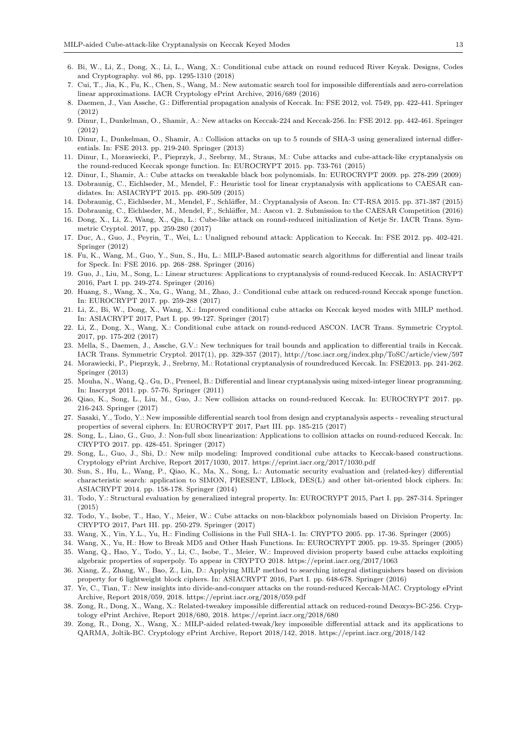- <span id="page-12-33"></span>6. Bi, W., Li, Z., Dong, X., Li, L., Wang, X.: Conditional cube attack on round reduced River Keyak. Designs, Codes and Cryptography. vol 86, pp. 1295-1310 (2018)
- <span id="page-12-22"></span>7. Cui, T., Jia, K., Fu, K., Chen, S., Wang, M.: New automatic search tool for impossible differentials and zero-correlation linear approximations. IACR Cryptology ePrint Archive, 2016/689 (2016)
- <span id="page-12-7"></span>8. Daemen, J., Van Assche, G.: Differential propagation analysis of Keccak. In: FSE 2012, vol. 7549, pp. 422-441. Springer (2012)
- <span id="page-12-2"></span>9. Dinur, I., Dunkelman, O., Shamir, A.: New attacks on Keccak-224 and Keccak-256. In: FSE 2012. pp. 442-461. Springer (2012)
- <span id="page-12-3"></span>10. Dinur, I., Dunkelman, O., Shamir, A.: Collision attacks on up to 5 rounds of SHA-3 using generalized internal differentials. In: FSE 2013. pp. 219-240. Springer (2013)
- <span id="page-12-12"></span>11. Dinur, I., Morawiecki, P., Pieprzyk, J., Srebrny, M., Straus, M.: Cube attacks and cube-attack-like cryptanalysis on the round-reduced Keccak sponge function. In: EUROCRYPT 2015. pp. 733-761 (2015)
- <span id="page-12-29"></span>12. Dinur, I., Shamir, A.: Cube attacks on tweakable black box polynomials. In: EUROCRYPT 2009. pp. 278-299 (2009)
- <span id="page-12-8"></span>13. Dobraunig, C., Eichlseder, M., Mendel, F.: Heuristic tool for linear cryptanalysis with applications to CAESAR candidates. In: ASIACRYPT 2015. pp. 490-509 (2015)
- <span id="page-12-13"></span>14. Dobraunig, C., Eichlseder, M., Mendel, F., Schläffer, M.: Cryptanalysis of Ascon. In: CT-RSA 2015. pp. 371-387 (2015)
- <span id="page-12-15"></span><span id="page-12-14"></span>15. Dobraunig, C., Eichlseder, M., Mendel, F., Schläffer, M.: Ascon v1. 2. Submission to the CAESAR Competition (2016) 16. Dong, X., Li, Z., Wang, X., Qin, L.: Cube-like attack on round-reduced initialization of Ketje Sr. IACR Trans. Sym-
- metric Cryptol. 2017, pp. 259-280 (2017) 17. Duc, A., Guo, J., Peyrin, T., Wei, L.: Unaligned rebound attack: Application to Keccak. In: FSE 2012. pp. 402-421.
- <span id="page-12-4"></span>Springer (2012)
- <span id="page-12-21"></span>18. Fu, K., Wang, M., Guo, Y., Sun, S., Hu, L.: MILP-Based automatic search algorithms for differential and linear trails for Speck. In: FSE 2016. pp. 268–288. Springer (2016)
- <span id="page-12-5"></span>19. Guo, J., Liu, M., Song, L.: Linear structures: Applications to cryptanalysis of round-reduced Keccak. In: ASIACRYPT 2016, Part I. pp. 249-274. Springer (2016)
- <span id="page-12-16"></span>20. Huang, S., Wang, X., Xu, G., Wang, M., Zhao, J.: Conditional cube attack on reduced-round Keccak sponge function. In: EUROCRYPT 2017. pp. 259-288 (2017)
- <span id="page-12-26"></span>21. Li, Z., Bi, W., Dong, X., Wang, X.: Improved conditional cube attacks on Keccak keyed modes with MILP method. In: ASIACRYPT 2017, Part I. pp. 99-127. Springer (2017)
- <span id="page-12-17"></span>22. Li, Z., Dong, X., Wang, X.: Conditional cube attack on round-reduced ASCON. IACR Trans. Symmetric Cryptol. 2017, pp. 175-202 (2017)
- <span id="page-12-9"></span>23. Mella, S., Daemen, J., Assche, G.V.: New techniques for trail bounds and application to differential trails in Keccak. IACR Trans. Symmetric Cryptol. 2017(1), pp. 329-357 (2017), http://tosc.iacr.org/index.php/ToSC/article/view/597
- <span id="page-12-6"></span>24. Morawiecki, P., Pieprzyk, J., Srebrny, M.: Rotational cryptanalysis of roundreduced Keccak. In: FSE2013. pp. 241-262. Springer (2013)
- <span id="page-12-18"></span>25. Mouha, N., Wang, Q., Gu, D., Preneel, B.: Differential and linear cryptanalysis using mixed-integer linear programming. In: Inscrypt 2011. pp. 57-76. Springer (2011)
- <span id="page-12-10"></span>26. Qiao, K., Song, L., Liu, M., Guo, J.: New collision attacks on round-reduced Keccak. In: EUROCRYPT 2017. pp. 216-243. Springer (2017)
- <span id="page-12-23"></span>27. Sasaki, Y., Todo, Y.: New impossible differential search tool from design and cryptanalysis aspects - revealing structural properties of several ciphers. In: EUROCRYPT 2017, Part III. pp. 185-215 (2017)
- <span id="page-12-11"></span>28. Song, L., Liao, G., Guo, J.: Non-full sbox linearization: Applications to collision attacks on round-reduced Keccak. In: CRYPTO 2017. pp. 428-451. Springer (2017)
- <span id="page-12-27"></span>29. Song, L., Guo, J., Shi, D.: New milp modeling: Improved conditional cube attacks to Keccak-based constructions. Cryptology ePrint Archive, Report 2017/1030, 2017. https://eprint.iacr.org/2017/1030.pdf
- <span id="page-12-19"></span>30. Sun, S., Hu, L., Wang, P., Qiao, K., Ma, X., Song, L.: Automatic security evaluation and (related-key) differential characteristic search: application to SIMON, PRESENT, LBlock, DES(L) and other bit-oriented block ciphers. In: ASIACRYPT 2014. pp. 158-178. Springer (2014)
- <span id="page-12-32"></span>31. Todo, Y.: Structural evaluation by generalized integral property. In: EUROCRYPT 2015, Part I. pp. 287-314. Springer (2015)
- <span id="page-12-30"></span>32. Todo, Y., Isobe, T., Hao, Y., Meier, W.: Cube attacks on non-blackbox polynomials based on Division Property. In: CRYPTO 2017, Part III. pp. 250-279. Springer (2017)
- <span id="page-12-0"></span>33. Wang, X., Yin, Y.L., Yu, H.: Finding Collisions in the Full SHA-1. In: CRYPTO 2005. pp. 17-36. Springer (2005)
- <span id="page-12-1"></span>34. Wang, X., Yu, H.: How to Break MD5 and Other Hash Functions. In: EUROCRYPT 2005. pp. 19-35. Springer (2005)
- <span id="page-12-31"></span>35. Wang, Q., Hao, Y., Todo, Y., Li, C., Isobe, T., Meier, W.: Improved division property based cube attacks exploiting algebraic properties of superpoly. To appear in CRYPTO 2018. https://eprint.iacr.org/2017/1063
- <span id="page-12-20"></span>36. Xiang, Z., Zhang, W., Bao, Z., Lin, D.: Applying MILP method to searching integral distinguishers based on division property for 6 lightweight block ciphers. In: ASIACRYPT 2016, Part I. pp. 648-678. Springer (2016)
- <span id="page-12-28"></span>37. Ye, C., Tian, T.: New insights into divide-and-conquer attacks on the round-reduced Keccak-MAC. Cryptology ePrint Archive, Report 2018/059, 2018. https://eprint.iacr.org/2018/059.pdf
- <span id="page-12-24"></span>38. Zong, R., Dong, X., Wang, X.: Related-tweakey impossible differential attack on reduced-round Deoxys-BC-256. Cryptology ePrint Archive, Report 2018/680, 2018. https://eprint.iacr.org/2018/680
- <span id="page-12-25"></span>39. Zong, R., Dong, X., Wang, X.: MILP-aided related-tweak/key impossible differential attack and its applications to QARMA, Joltik-BC. Cryptology ePrint Archive, Report 2018/142, 2018. https://eprint.iacr.org/2018/142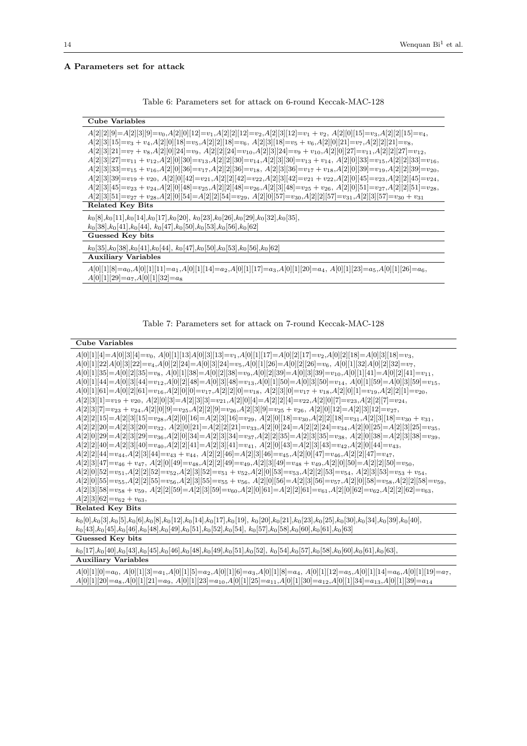# <span id="page-13-2"></span>A Parameters set for attack

| Table 6: Parameters set for attack on 6-round Keccak-MAC-128 |  |  |  |  |  |  |  |  |
|--------------------------------------------------------------|--|--|--|--|--|--|--|--|
|--------------------------------------------------------------|--|--|--|--|--|--|--|--|

<span id="page-13-0"></span>

| Cube Variables                                                                                                                                                                                                                                                                                                                                                                                                                                                                                                                                                                      |
|-------------------------------------------------------------------------------------------------------------------------------------------------------------------------------------------------------------------------------------------------------------------------------------------------------------------------------------------------------------------------------------------------------------------------------------------------------------------------------------------------------------------------------------------------------------------------------------|
| $A[2][2][9]=A[2][3][9]=v_0, A[2][0][12]=v_1, A[2][2][12]=v_2, A[2][3][12]=v_1+v_2, A[2][0][15]=v_3, A[2][2][15]=v_4,$<br>$A[2][3][15]=v_3+v_4,A[2][0][18]=v_5,A[2][2][18]=v_6,A[2][3][18]=v_5+v_6,A[2][0][21]=v_7,A[2][2][21]=v_8,$<br>$A[2][3][21]=v_7+v_8,A[2][0][24]=v_9, A[2][2][24]=v_{10},A[2][3][24]=v_9+v_{10},A[2][0][27]=v_{11},A[2][2][27]=v_{12},$<br>$A[2][3][27]=v_{11}+v_{12}$ , $A[2][0][30]=v_{13}$ , $A[2][2][30]=v_{14}$ , $A[2][3][30]=v_{13}+v_{14}$ , $A[2][0][33]=v_{15}$ , $A[2][2][33]=v_{16}$ ,                                                           |
| $A[2][3][33]=v_{15}+v_{16}A[2][0][36]=v_{17}A[2][2][36]=v_{18}, A[2][3][36]=v_{17}+v_{18}A[2][0][39]=v_{19}A[2][2][39]=v_{20},$<br>$A[2][3][39]=v_{19}+v_{20}, A[2][0][42]=v_{21}, A[2][2][42]=v_{22}, A[2][3][42]=v_{21}+v_{22}, A[2][0][45]=v_{23}, A[2][2][45]=v_{24},$<br>$A[2][3][45] = v_{23} + v_{24}, A[2][0][48] = v_{25}, A[2][2][48] = v_{26}, A[2][3][48] = v_{25} + v_{26}, A[2][0][51] = v_{27}, A[2][2][51] = v_{28},$<br>$A[2][3][51]=v_{27}+v_{28}$ , $A[2][0][54]=A[2][2][54]=v_{29}$ , $A[2][0][57]=v_{30}$ , $A[2][2][57]=v_{31}$ , $A[2][3][57]=v_{30}+v_{31}$ |
| <b>Related Key Bits</b>                                                                                                                                                                                                                                                                                                                                                                                                                                                                                                                                                             |
| $k_0[8], k_0[11], k_0[14], k_0[17], k_0[20], k_0[23], k_0[26], k_0[29], k_0[32], k_0[35],$<br>$k_0$ [38], $k_0$ [41], $k_0$ [44], $k_0$ [47], $k_0$ [50], $k_0$ [53], $k_0$ [56], $k_0$ [62]                                                                                                                                                                                                                                                                                                                                                                                        |
| Guessed Key bits                                                                                                                                                                                                                                                                                                                                                                                                                                                                                                                                                                    |
| $k_0$ [35], $k_0$ [38], $k_0$ [41], $k_0$ [44], $k_0$ [47], $k_0$ [50], $k_0$ [53], $k_0$ [56], $k_0$ [62]                                                                                                                                                                                                                                                                                                                                                                                                                                                                          |
| <b>Auxiliary Variables</b>                                                                                                                                                                                                                                                                                                                                                                                                                                                                                                                                                          |
| $A[0][1][8]=a_0, A[0][1][11]=a_1, A[0][1][14]=a_2, A[0][1][17]=a_3, A[0][1][20]=a_4, A[0][1][23]=a_5, A[0][1][26]=a_6,$<br>$A[0][1][29]=a_7, A[0][1][32]=a_8$                                                                                                                                                                                                                                                                                                                                                                                                                       |

Table 7: Parameters set for attack on 7-round Keccak-MAC-128

<span id="page-13-1"></span>

| Cube Variables                                                                                                                                                                                                                                                                                                                     |
|------------------------------------------------------------------------------------------------------------------------------------------------------------------------------------------------------------------------------------------------------------------------------------------------------------------------------------|
| $A[0][1][4] = A[0][3][4] = v_0, A[0][1][13]A[0][3][13] = v_1, A[0][1][17] = A[0][2][17] = v_2, A[0][2][18] = A[0][3][18] = v_3,$                                                                                                                                                                                                   |
| $A[0][1][22]A[0][3][22] = v_4, A[0][2][24] = A[0][3][24] = v_5, A[0][1][26] = A[0][2][26] = v_6, A[0][1][32]A[0][2][32] = v_7,$                                                                                                                                                                                                    |
| $A[0][1][35] = A[0][2][35] = v_8, A[0][1][38] = A[0][2][38] = v_9, A[0][2][39] = A[0][3][39] = v_{10}, A[0][1][41] = A[0][2][41] = v_{11},$                                                                                                                                                                                        |
| $A[0][1][44] = A[0][3][44] = v_{12}$ , $A[0][2][48] = A[0][3][48] = v_{13}$ , $A[0][1][50] = A[0][3][50] = v_{14}$ , $A[0][1][59] = A[0][3][59] = v_{15}$ ,                                                                                                                                                                        |
| $A[0][1][61] = A[0][2][61] = v_{16}, A[2][0][0] = v_{17}, A[2][2][0] = v_{18}, A[2][3][0] = v_{17} + v_{18}, A[2][0][1] = v_{19}, A[2][2][1] = v_{20},$                                                                                                                                                                            |
| $A[2][3][1]=v_{19}+v_{20}, A[2][0][3]=A[2][3][3]=v_{21}, A[2][0][4]=A[2][2][4]=v_{22}, A[2][0][7]=v_{23}, A[2][2][7]=v_{24},$                                                                                                                                                                                                      |
| $A[2][3][7]=v_{23}+v_{24}, A[2][0][9]=v_{25}, A[2][2][9]=v_{26}, A[2][3][9]=v_{25}+v_{26}, A[2][0][12]=A[2][3][12]=v_{27},$                                                                                                                                                                                                        |
| $A[2][2][15] = A[2][3][15] = v_{28}, A[2][0][16] = A[2][3][16] = v_{29}, A[2][0][18] = v_{30}, A[2][2][18] = v_{31}, A[2][3][18] = v_{30} + v_{31}, A[2][2][16] = v_{30} + v_{31}, A[2][2][16] = v_{31}, A[2][2][16] = v_{31}, A[2][2][16] = v_{31}, A[2][2][16] = v_{31}, A[2][2][16] = v_{31}, A[2][2][16] = v_{31}, A[2][2][16$ |
| $A[2][2][20] = A[2][3][20] = v_{32}, A[2][0][21] = A[2][2][21] = v_{33}, A[2][0][24] = A[2][2][24] = v_{34}, A[2][0][25] = A[2][3][25] = v_{35},$                                                                                                                                                                                  |
| $A[2][0][29] = A[2][3][29] = v_{36}$ , $A[2][0][34] = A[2][3][34] = v_{37}$ , $A[2][2][35] = A[2][3][35] = v_{38}$ , $A[2][0][38] = A[2][3][38] = v_{39}$ ,                                                                                                                                                                        |
| $A[2][2][40]=A[2][3][40]=v_{40}, A[2][2][41]=A[2][3][41]=v_{41}, A[2][0][43]=A[2][3][43]=v_{42}, A[2][0][44]=v_{43},$                                                                                                                                                                                                              |
| $A[2][2][44] = v_{44}$ , $A[2][3][44] = v_{43} + v_{44}$ , $A[2][2][46] = A[2][3][46] = v_{45}$ , $A[2][0][47] = v_{46}$ , $A[2][2][47] = v_{47}$ ,                                                                                                                                                                                |
| $A[2][3][47]=v_{46}+v_{47}$ , $A[2][0][49]=v_{48}$ , $A[2][2][49]=v_{49}$ , $A[2][3][49]=v_{48}+v_{49}$ , $A[2][0][50]=A[2][2][50]=v_{50}$ ,                                                                                                                                                                                       |
| $A[2][0][52]=v_{51}, A[2][2][52]=v_{52}, A[2][3][52]=v_{51}+v_{52}, A[2][0][53]=v_{53}, A[2][2][53]=v_{54}, A[2][3][53]=v_{53}+v_{54},$                                                                                                                                                                                            |
| $A[2][0][55] = v_{55}A[2][2][55] = v_{56}A[2][3][55] = v_{55} + v_{56}A[2][0][56] = A[2][3][56] = v_{57}A[2][0][58] = v_{58}A[2][2][58] = v_{59}$                                                                                                                                                                                  |
| $A[2][3][58]=v_{58}+v_{59}, A[2][2][59]=A[2][3][59]=v_{60}, A[2][0][61]=A[2][2][61]=v_{61}, A[2][0][62]=v_{62}, A[2][2][62]=v_{63},$                                                                                                                                                                                               |
| $A[2][3][62]=v_{62}+v_{63},$                                                                                                                                                                                                                                                                                                       |
| <b>Related Key Bits</b>                                                                                                                                                                                                                                                                                                            |
| $k_0[0], k_0[3], k_0[5], k_0[6], k_0[8], k_0[12], k_0[14], k_0[17], k_0[19], k_0[20], k_0[21], k_0[23], k_0[30], k_0[34], k_0[39], k_0[40], k_0[40], k_0[40], k_0[40], k_0[40], k_0[41], k_0[41], k_0[40], k_0[41], k_0[41], k_0[41], k_0[41], k_0[41], k_0[41], k_0[41], k_0[41], k_0[41], k$                                     |

 $k_0[43], k_0[45], k_0[46], k_0[48], k_0[49], k_0[51], k_0[52], k_0[54], k_0[57], k_0[58], k_0[60], k_0[61], k_0[63]$ 

# Guessed Key bits

 $k_{0}[17], k_{0}[40], k_{0}[43], k_{0}[45], k_{0}[46], k_{0}[48], k_{0}[49], k_{0}[51], k_{0}[52], \; k_{0}[54], k_{0}[57], k_{0}[58], k_{0}[60], k_{0}[61], k_{0}[63], k_{0}[61], k_{0}[63], k_{0}[61], k_{0}[62], k_{0}[61], k_{0}[63], k_{0}[61], k_{0}[63], k_{0}[61], k_{0}[63], k_{0}[61], k_{0}[63], k_{0}[61], k_{0}[63], k_{0}[61], k_{0}[63], k$ 

# Auxiliary Variables

 $A[0][1][0]=a_0, A[0][1][3]=a_1, A[0][1][5]=a_2, A[0][1][6]=a_3, A[0][1][8]=a_4, A[0][1][12]=a_5, A[0][1][14]=a_6, A[0][1][19]=a_7, A[0][16]=a_8, A[06]$  $A[0][1][20]\text{=}a_8,A[0][1][21]\text{=}a_9,A[0][1][23]\text{=}a_{10},A[0][1][25]\text{=}a_{11},A[0][1][30]\text{=}a_{12},A[0][1][34]\text{=}a_{13},A[0][1][39]\text{=}a_{14}$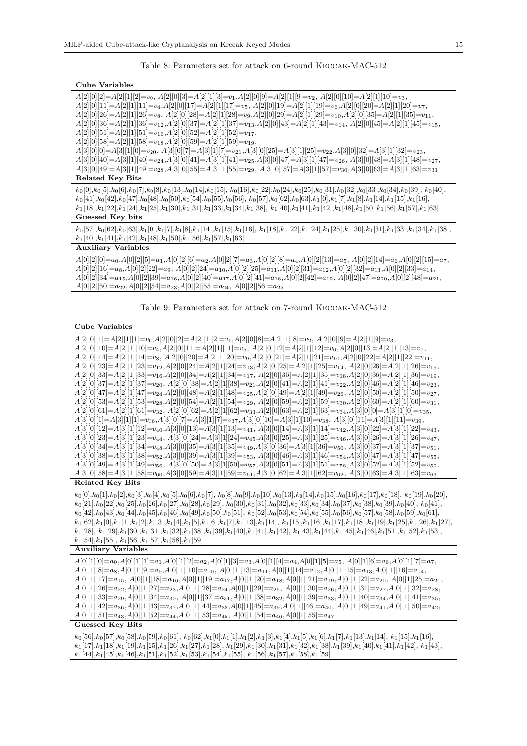<span id="page-14-0"></span>

| Cube Variables                                                                                                                                                                                                                                                                                                              |
|-----------------------------------------------------------------------------------------------------------------------------------------------------------------------------------------------------------------------------------------------------------------------------------------------------------------------------|
| $A[2][0][2]=A[2][1][2]=v_0, A[2][0][3]=A[2][1][3]=v_1, A[2][0][9]=A[2][1][9]=v_2, A[2][0][10]=A[2][1][10]=v_3,$                                                                                                                                                                                                             |
| $A[2][0][11] = A[2][1][11] = v_4, A[2][0][17] = A[2][1][17] = v_5, A[2][0][19] = A[2][1][19] = v_6, A[2][0][20] = A[2][1][20] = v_7,$                                                                                                                                                                                       |
| $A[2][0][26] = A[2][1][26] = v_8, A[2][0][28] = A[2][1][28] = v_9, A[2][0][29] = A[2][1][29] = v_{10}, A[2][0][35] = A[2][1][35] = v_{11},$                                                                                                                                                                                 |
| $A[2][0][36] = A[2][1][36] = v_{12}A[2][0][37] = A[2][1][37] = v_{13}A[2][0][43] = A[2][1][43] = v_{14}, A[2][0][45] = A[2][1][45] = v_{15},$                                                                                                                                                                               |
| $A[2][0][51]=A[2][1][51]=v_{16}, A[2][0][52]=A[2][1][52]=v_{17},$                                                                                                                                                                                                                                                           |
| $A[2][0][58]=A[2][1][58]=v_{18},A[2][0][59]=A[2][1][59]=v_{19},$                                                                                                                                                                                                                                                            |
| $A[3][0][0]=A[3][1][0]=v_{20}, A[3][0][7]=A[3][1][7]=v_{21}, A[3][0][25]=A[3][1][25]=v_{22}, A[3][0][32]=A[3][1][32]=v_{23},$                                                                                                                                                                                               |
| $A[3][0][40] = A[3][1][40] = v_{24}, A[3][0][41] = A[3][1][41] = v_{25}, A[3][0][47] = A[3][1][47] = v_{26}, A[3][0][48] = A[3][1][48] = v_{27},$                                                                                                                                                                           |
| $A[3][0][49] = A[3][1][49] = v_{28}$ , $A[3][0][55] = A[3][1][55] = v_{29}$ , $A[3][0][57] = A[3][1][57] = v_{30}$ , $A[3][0][63] = A[3][1][63] = v_{31}$                                                                                                                                                                   |
| <b>Related Key Bits</b>                                                                                                                                                                                                                                                                                                     |
| $k_0[0], k_0[5], k_0[6], k_0[7], k_0[8], k_0[13], k_0[14], k_0[15], k_0[16], k_0[22], k_0[24], k_0[25], k_0[31], k_0[32], k_0[33], k_0[34], k_0[39], k_0[40], k_0[40], k_0[52], k_0[64], k_0[7], k_0[8], k_0[9], k_0[10], k_0[10], k_0[11], k_0[12], k_0[22], k_0[23], k_0[33], k_0[34], k_0[$                              |
| $k_0[41], k_0[42], k_0[47], k_0[48], k_0[50], k_0[54], k_0[55], k_0[56], k_0[57], k_0[62], k_0[63], k_1[0], k_1[7], k_1[8], k_1[14], k_1[15], k_1[16], k_1[16], k_1[17], k_1[18], k_1[19], k_1[10], k_1[10], k_1[10], k_1[10], k_1[11], k_1[10], k_1[10], k_1[11], k_1[10], k_1[11], k_1[10$                                |
| $k_1[18], k_1[22], k_1[24], k_1[25], k_1[30], k_1[31], k_1[33], k_1[34], k_1[38], k_1[40], k_1[41], k_1[42], k_1[48], k_1[50], k_1[56], k_1[57], k_1[63]$                                                                                                                                                                   |
| Guessed Key bits                                                                                                                                                                                                                                                                                                            |
| $k_0[57], k_0[62], k_0[63], k_1[0], k_1[7], k_1[8], k_1[14], k_1[15], k_1[16], k_1[18], k_1[22], k_1[24], k_1[25], k_1[30], k_1[31], k_1[33], k_1[34], k_1[38], k_1[44], k_1[44], k_1[44], k_1[44], k_1[44], k_1[44], k_1[44], k_1[44], k_1[44], k_1[44], k_1[44], k_1[44], k_1[44], k_1[44$                                |
| $k_1[40], k_1[41], k_1[42], k_1[48], k_1[50], k_1[56], k_1[57], k_1[63]$                                                                                                                                                                                                                                                    |
| <b>Auxiliary Variables</b>                                                                                                                                                                                                                                                                                                  |
| $A[0][2][0]=a_0, A[0][2][5]=a_1, A[0][2][6]=a_2, A[0][2][7]=a_3, A[0][2][8]=a_4, A[0][2][13]=a_5, A[0][2][14]=a_6, A[0][2][15]=a_7, A[0][2][16]=a_8, A[0][2][16]=a_9, A[0][2][16]=a_9, A[0][2][16]=a_9, A[0][2][16]=a_9, A[0][2][16]=a_9, A[0][2][16]=a_9, A[0][2][16]=a_9, A[0][2][16]=a_9, A[0][$                         |
| $A[0][2][16]=a_8,A[0][2][22]=a_9,A[0][2][24]=a_{10},A[0][2][25]=a_{11},A[0][2][31]=a_{12},A[0][2][32]=a_{13},A[0][2][33]=a_{14},$                                                                                                                                                                                           |
| $A[0][2][34]=a_{15}, A[0][2][39]=a_{16}, A[0][2][40]=a_{17}, A[0][2][41]=a_{18}, A[0][2][42]=a_{19}, A[0][2][47]=a_{20}, A[0][2][48]=a_{21}, A[0][2][48]=a_{22}, A[0][2][48]=a_{22}, A[0][2][48]=a_{22}, A[0][2][48]=a_{23}, A[0][2][48]=a_{24}, A[0][2][48]=a_{25}, A[0][2][48]=a_{26}, A[0][2][48]=a_{27}, A[0][2][48]=a$ |
| $A[0][2][50] = a_{22}, A[0][2][54] = a_{23}, A[0][2][55] = a_{24}, A[0][2][56] = a_{25}$                                                                                                                                                                                                                                    |

|  | Table 9: Parameters set for attack on 7-round KECCAK-MAC-512 |  |  |  |  |  |  |  |
|--|--------------------------------------------------------------|--|--|--|--|--|--|--|
|--|--------------------------------------------------------------|--|--|--|--|--|--|--|

# <span id="page-14-1"></span>Cube Variables

| $A[2][0][1]=A[2][1][1]=v_0, A[2][0][2]=A[2][1][2]=v_1, A[2][0][8]=A[2][1][8]=v_2, A[2][0][9]=A[2][1][9]=v_3,$                                                                                                                                                                                                                     |
|-----------------------------------------------------------------------------------------------------------------------------------------------------------------------------------------------------------------------------------------------------------------------------------------------------------------------------------|
| $A[2  0  10]=A[2  1  10]=v_4,A[2  0  11]=A[2  1  11]=v_5,A[2  0  12]=A[2  1  12]=v_6,A[2  0  13]=A[2  1  13]=v_7,$                                                                                                                                                                                                                |
| $A[2][0][14] = A[2][1][14] = v_8, A[2][0][20] = A[2][1][20] = v_9, A[2][0][21] = A[2][1][21] = v_{10}, A[2][0][22] = A[2][1][22] = v_{11},$                                                                                                                                                                                       |
| $A[2  0  23]=A[2  1  23]=v_{12}, A[2  0  24]=A[2  1  24]=v_{13}, A[2  0  25]=A[2  1  25]=v_{14}, A[2  0  26]=A[2  1  26]=v_{15},$                                                                                                                                                                                                 |
| $A[2][0][33] = A[2][1][33] = v_{16}, A[2][0][34] = A[2][1][34] = v_{17}, A[2][0][35] = A[2][1][35] = v_{18}, A[2][0][36] = A[2][1][36] = v_{19},$                                                                                                                                                                                 |
| $A[2][0][37] = A[2][1][37] = v_{20}, A[2][0][38] = A[2][1][38] = v_{21}, A[2][0][41] = A[2][1][41] = v_{22}, A[2][0][46] = A[2][1][46] = v_{23},$                                                                                                                                                                                 |
| $A[2][0][47] = A[2][1][47] = v_{24}$ , $A[2][0][48] = A[2][1][48] = v_{25}$ , $A[2][0][49] = A[2][1][49] = v_{26}$ , $A[2][0][50] = A[2][1][50] = v_{27}$ ,                                                                                                                                                                       |
| $A[2][0][53] = A[2][1][53] = v_{28}, A[2][0][54] = A[2][1][54] = v_{29}, A[2][0][59] = A[2][1][59] = v_{30}, A[2][0][60] = A[2][1][60] = v_{31}, A[2][0][53] = v_{31}, A[2][0][54] = v_{32}, A[2][1][54] = v_{33}, A[2][0][55] = v_{31}, A[2][0][56] = v_{31}, A[2][0][57] = v_{31}, A[2][0][58] = v_{31}, A[2][0][59] = v_{31},$ |
| $A[2][0][61] = A[2][1][61] = v_{32}, A[2][0][62] = A[2][1][62] = v_{33}, A[2][0][63] = A[2][1][63] = v_{34}, A[3][0][0] = A[3][1][0] = v_{35},$                                                                                                                                                                                   |
| $A[3][0][1]=A[3][1][1]=v_{36},A[3][0][7]=A[3][1][7]=v_{37},A[3][0][10]=A[3][1][10]=v_{38},A[3][0][11]=A[3][1][11]=v_{39},$                                                                                                                                                                                                        |
| $A[3][0][12]=A[3][1][12]=v_{40},A[3][0][13]=A[3][1][13]=v_{41},A[3][0][14]=A[3][1][14]=v_{42},A[3][0][22]=A[3][1][22]=v_{43},A[3][0][22]=A[3][1][22]=v_{44},A[3][0][22]=A[3][1][22]=v_{45},A[3][0][13]=A[3][1][22]=v_{46},A[3][0][13]=A[3][1][22]=v_{47},A[3][0][14]=A[3][1][14]=v_{47},A[3][0][22]=A[3][$                        |
| $A[3][0][23]=A[3][1][23]=v_{44}, A[3][0][24]=A[3][1][24]=v_{45}, A[3][0][25]=A[3][1][25]=v_{46}, A[3][0][26]=A[3][1][26]=v_{47},$                                                                                                                                                                                                 |
| $A[3][0][34] = A[3][1][34] = v_{48}, A[3][0][35] = A[3][1][35] = v_{49}, A[3][0][36] = A[3][1][36] = v_{50}, A[3][0][37] = A[3][1][37] = v_{51},$                                                                                                                                                                                 |
| $A[3][0][38] = A[3][1][38] = v_{52}$ , $A[3][0][39] = A[3][1][39] = v_{53}$ , $A[3][0][46] = A[3][1][46] = v_{54}$ , $A[3][0][47] = A[3][1][47] = v_{55}$ ,                                                                                                                                                                       |
| $A[3][0][49]=A[3][1][49]=v_{56}, A[3][0][50]=A[3][1][50]=v_{57}, A[3][0][51]=A[3][1][51]=v_{58}, A[3][0][52]=A[3][1][52]=v_{59},$                                                                                                                                                                                                 |
| $A[3][0][58]=A[3][1][58]=v_{60},A[3][0][59]=A[3][1][59]=v_{61},A[3][0][62]=A[3][1][62]=v_{62},A[3][0][63]=A[3][1][63]=v_{63}$                                                                                                                                                                                                     |

Related Key Bits

 $k_0[0], k_0[1], k_0[2], k_0[3], k_0[4], k_0[5], k_0[6], k_0[7], k_0[8], k_0[9], k_0[10], k_0[13], k_0[14], k_0[15], k_0[16], k_0[17], k_0[18], k_0[19], k_0[20], k_0[16], k_0[16], k_0[17], k_0[18], k_0[19], k_0[19], k_0[10], k_0[10], k_0[10], k_0[10], k_0[10], k_0[10], k_0[10], k_0[10$  $k_0[21], k_0[22], k_0[25], k_0[26], k_0[27], k_0[28], k_0[29], k_0[30], k_0[31], k_0[32], k_0[33], k_0[34], k_0[37], k_0[38], k_0[39], k_0[40], k_0[41], k_0[40], k_0[40], k_0[41], k_0[40], k_0[40], k_0[41], k_0[40], k_0[41], k_0[41], k_0[41], k_0[41], k_0[41], k_0[41], k_0[41], k_0$  $k_0[42], k_0[43], k_0[44], k_0[45], k_0[46], k_0[49], k_0[50], k_0[51], k_0[52], k_0[53], k_0[54], k_0[55], k_0[56], k_0[57], k_0[58], k_0[59], k_0[61], k_0[61], k_0[70], k_0[81], k_0[90], k_0[10], k_0[11], k_0[10], k_0[11], k_0[10], k_0[11], k_0[11], k_0[11], k_0[11], k_0[11], k_0$  $k_0[62], k_1[0], k_1[1], k_1[2], k_1[3], k_1[4], k_1[5], k_1[6], k_1[7], k_1[13], k_1[14], k_1[15], k_1[16], k_1[17], k_1[18], k_1[19], k_1[25], k_1[26], k_1[27], k_1[36], k_1[4], k_1[4], k_1[4], k_1[4], k_1[4], k_1[4], k_1[4], k_1[4], k_1[4], k_1[4], k_1[4], k_1[4], k_1[4], k_1[4], k_1[$  $\hbox{$k_1[28],\,k_1[29],k_1[30],k_1[31],k_1[32],k_1[38],k_1[39],k_1[40],k_1[41],k_1[42],\,k_1[43],k_1[44],k_1[45],k_1[46],k_1[51],k_1[52],k_1[53],k_1[46],k_1[46],k_1[46],k_1[46],k_1[46],k_1[46],k_1[46],k_1[46],k_1[46],k_1[46],k_1[46],k_1[46],k_1[46],k_$  $k_1[54], k_1[55], k_1[56], k_1[57], k_1[58], k_1[59]$ 

#### Auxiliary Variables

 $A[0][1][0]=a_0,A[0][1][1]=a_1,A[0][1][2]=a_2,A[0][1][3]=a_3,A[0][1][4]=a_4,A[0][1][5]=a_5,A[0][1][6]=a_6,A[0][1][7]=a_7,$  $A[0][1][8]=a_8,A[0][1][9]=a_9,A[0][1][10]=a_{10}, A[0][1][13]=a_{11},A[0][1][14]=a_{12},A[0][1][15]=a_{13},A[0][1][16]=a_{14},$  $A[0][1][17]=a_{15}, A[0][1][18]=a_{16}, A[0][1][19]=a_{17}, A[0][1][20]=a_{18}, A[0][1][21]=a_{19}, A[0][1][22]=a_{20}, A[0][1][25]=a_{21}, A[0][1][26]=a_{20}$  $A[0][1][26]=a_{22},A[0][1][27]=a_{23},A[0][1][28]=a_{24},A[0][1][29]=a_{25},\ A[0][1][30]=a_{26},A[0][1][31]=a_{27},A[0][1][32]=a_{28},$  $A[0][1][33]=a_{29},A[0][1][34]=a_{30},\ A[0][1][37]=a_{31},A[0][1][38]=a_{32},A[0][1][39]=a_{33},A[0][1][40]=a_{34},A[0][1][41]=a_{35},$  $A[0][1][42]=a_{36}A[0][1][43]=a_{37}A[0][1][44]=a_{38}A[0][1][45]=a_{39}A[0][1][46]=a_{40}A[0][1][49]=a_{41}A[0][1][50]=a_{42}$  $A[0][1][51]=a_{43},A[0][1][52]=a_{44},A[0][1][53]=a_{45},A[0][1][54]=a_{46},A[0][1][55]=a_{47}$ 

# Guessed Key Bits

 $k_0[56], k_0[57], k_0[58], k_0[59], k_0[61], k_0[62], k_1[0], k_1[1], k_1[2], k_1[3], k_1[4], k_1[5], k_1[6], k_1[7], k_1[13], k_1[14], k_1[15], k_1[16], k_1[16], k_1[16], k_1[16], k_1[16], k_1[16], k_1[16], k_1[16], k_1[16], k_1[16], k_1[16], k_1[16], k_1[16], k_1[16], k_1[16], k_1[$  $\label{eq:1} k_1[17] , k_1[18] , k_1[19] , k_1[25] , k_1[26] , k_1[27] , k_1[28] , \ k_1[29] , k_1[30] , k_1[31] , k_1[32] , k_1[38] , k_1[40] , k_1[41] , k_1[42] , \ k_1[43] , k_1[40] , k_1[40] , k_1[40] , k_1[40] , k_1[40] , k_1[41] , k_1[42] , k_1[43] , k_1[40] , k_1[41] , k_1$  $k_1[44],\!k_1[45],\!k_1[46],\!k_1[51],\!k_1[52],\!k_1[53],\!k_1[54],\!k_1[55],\,k_1[56],\!k_1[57],\!k_1[58],\!k_1[59]$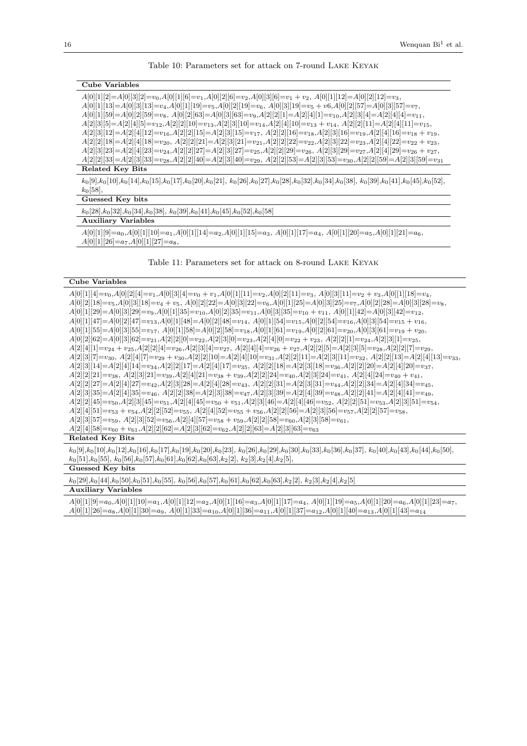Table 10: Parameters set for attack on 7-round Lake Keyak

<span id="page-15-0"></span>

| Cube Variables                                                                                                                                                                                                                                                                                                                                                                                                                                                                                                                                                                                                                                                                                                                                                                                                                                                                                                                                                                                                                                                                                                                                                                                                                                                                                                                                                                                                                                                                                                                                                                                   |
|--------------------------------------------------------------------------------------------------------------------------------------------------------------------------------------------------------------------------------------------------------------------------------------------------------------------------------------------------------------------------------------------------------------------------------------------------------------------------------------------------------------------------------------------------------------------------------------------------------------------------------------------------------------------------------------------------------------------------------------------------------------------------------------------------------------------------------------------------------------------------------------------------------------------------------------------------------------------------------------------------------------------------------------------------------------------------------------------------------------------------------------------------------------------------------------------------------------------------------------------------------------------------------------------------------------------------------------------------------------------------------------------------------------------------------------------------------------------------------------------------------------------------------------------------------------------------------------------------|
| $A[0][1][2]=A[0][3][2]=v_0, A[0][1][6]=v_1, A[0][2][6]=v_2, A[0][3][6]=v_1+v_2, A[0][1][12]=A[0][2][12]=v_3,$<br>$A[0][1][13]=A[0][3][13]=v_4, A[0][1][19]=v_5, A[0][2][19]=v_6, A[0][3][19]=v_5+v_6, A[0][2][57]=A[0][3][57]=v_7,$<br>$A[0][1][59]=A[0][2][59]=v_8, A[0][2][63]=A[0][3][63]=v_9, A[2][2][1]=A[2][4][1]=v_{10}, A[2][3][4]=A[2][4][4]=v_{11},$<br>$A[2][3][5]=A[2][4][5]=v_{12},A[2][2][10]=v_{13},A[2][3][10]=v_{14},A[2][4][10]=v_{13}+v_{14},A[2][2][11]=A[2][4][11]=v_{15},A[2][4][10]=v_{16},A[2][4][11]=v_{17},A[2][4][10]=v_{18},A[2][2][11]=v_{19},A[2][2][10]=v_{19},A[2][2][10]=v_{19},A[2][2][10]=v_{10},A[2][2][11]=v_{10},A[2][2][11]=v_{10},A[$<br>$A[2][3][12]=A[2][4][12]=v_{16}, A[2][2][15]=A[2][3][15]=v_{17}, A[2][2][16]=v_{18}, A[2][3][16]=v_{19}, A[2][4][16]=v_{18}+v_{19},$<br>$A[2][2][18] = A[2][4][18] = v_{20}, A[2][2][21] = A[2][3][21] = v_{21}, A[2][2][22] = v_{22}, A[2][3][22] = v_{23}, A[2][4][22] = v_{22} + v_{23}, A[2][4][22] = v_{23}, A[2][4][22] = v_{23}, A[2][4][22] = v_{23}, A[2][4][22] = v_{23}, A[2][4][22] = v_{23}, A[2][4][22] = v_{23}, A[2][4][22] = v_{23}, A[2][4][22] = v_{23$<br>$A[2][3][23]=A[2][4][23]=v_{24}, A[2][2][27]=A[2][3][27]=v_{25}, A[2][2][29]=v_{26}, A[2][3][29]=v_{27}, A[2][4][29]=v_{26}+v_{27}, A[2][4][29]=v_{26}+v_{27}, A[2][4][29]=v_{27}+v_{27}+v_{27}+v_{27}+v_{27}+v_{27}+v_{27}+v_{27}+v_{27}+v_{27}+v_{27}+v_{27}+v_{27}+v_{27}+v_{27}+v_{27}+v$<br>$A[2][2][33]=A[2][3][33]=v_{28}, A[2][2][40]=A[2][3][40]=v_{29}, A[2][2][53]=A[2][3][53]=v_{30}, A[2][2][59]=A[2][3][59]=v_{31}$ |
| <b>Related Key Bits</b>                                                                                                                                                                                                                                                                                                                                                                                                                                                                                                                                                                                                                                                                                                                                                                                                                                                                                                                                                                                                                                                                                                                                                                                                                                                                                                                                                                                                                                                                                                                                                                          |
| $k_0[9], k_0[10], k_0[14], k_0[15], k_0[17], k_0[20], k_0[21], k_0[26], k_0[27], k_0[28], k_0[32], k_0[34], k_0[38], k_0[39], k_0[41], k_0[45], k_0[52], k_0[46], k_0[46], k_0[47], k_0[48], k_0[49], k_0[40], k_0[40], k_0[40], k_0[41], k_0[40], k_0[40], k_0[41], k_0[40], k_0[41], k_0[$<br>$k_0$ [58],                                                                                                                                                                                                                                                                                                                                                                                                                                                                                                                                                                                                                                                                                                                                                                                                                                                                                                                                                                                                                                                                                                                                                                                                                                                                                      |
| Guessed Key bits                                                                                                                                                                                                                                                                                                                                                                                                                                                                                                                                                                                                                                                                                                                                                                                                                                                                                                                                                                                                                                                                                                                                                                                                                                                                                                                                                                                                                                                                                                                                                                                 |
| $k_0[28], k_0[32], k_0[34], k_0[38], k_0[39], k_0[41], k_0[45], k_0[52], k_0[58]$                                                                                                                                                                                                                                                                                                                                                                                                                                                                                                                                                                                                                                                                                                                                                                                                                                                                                                                                                                                                                                                                                                                                                                                                                                                                                                                                                                                                                                                                                                                |
| <b>Auxiliary Variables</b>                                                                                                                                                                                                                                                                                                                                                                                                                                                                                                                                                                                                                                                                                                                                                                                                                                                                                                                                                                                                                                                                                                                                                                                                                                                                                                                                                                                                                                                                                                                                                                       |
| $A[0][1][9]=a_0, A[0][1][10]=a_1, A[0][1][14]=a_2, A[0][1][15]=a_3, A[0][1][17]=a_4, A[0][1][20]=a_5, A[0][1][21]=a_6,$<br>$A[0][1][26]=a_7, A[0][1][27]=a_8,$                                                                                                                                                                                                                                                                                                                                                                                                                                                                                                                                                                                                                                                                                                                                                                                                                                                                                                                                                                                                                                                                                                                                                                                                                                                                                                                                                                                                                                   |
| Table 11: Parameters set for attack on 8-round LAKE KEYAK                                                                                                                                                                                                                                                                                                                                                                                                                                                                                                                                                                                                                                                                                                                                                                                                                                                                                                                                                                                                                                                                                                                                                                                                                                                                                                                                                                                                                                                                                                                                        |

#### <span id="page-15-1"></span>Cube Variables

 $A[0][1][4]=v_0,A[0][2][4]=v_1,A[0][3][4]=v_0+v_1,A[0][1][11]=v_2,A[0][2][11]=v_3,A[0][3][11]=v_2+v_3,A[0][1][18]=v_4,$  $\label{eq:17} A[0][2][18]=v_5,\\ A[0][3][18]=v_4+v_5,\\ A[0][2][22]=A[0][3][22]=v_6,\\ A[0][1][25]=A[0][3][25]=v_7,\\ A[0][2][28]=A[0][3][28]=v_8,$  $A[0][1][29] = A[0][3][29] = v_9, A[0][1][35] = v_{10}, A[0][2][35] = v_{11}, A[0][3][35] = v_{10} + v_{11}, A[0][1][42] = A[0][3][42] = v_{12},$  $\label{eq:4.10} A[0][1][47] = A[0][2][47] = v_{13}, A[0][1][48] = A[0][2][48] = v_{14},\ A[0][1][54] = v_{15}, A[0][2][54] = v_{16}, A[0][3][54] = v_{15} + v_{16},$  $A[0][1][55]=A[0][3][55]=v_17, A[0][1][58]=A[0][2][58]=v_{18},A[0][1][61]=v_{19},A[0][2][61]=v_{20},A[0][3][61]=v_{19}+v_{20},A[0][3][60]=v_{19}+v_{21},A[0][2][60]=v_{10}+v_{21},A[0][2][60]=v_{10}+v_{21},A[0][2][60]=v_{11}+v_{22},A[0][2][60]=v_{12}+v_{22},A[0][2][60]=v_{13}+v_{24},A[0][2][$  $\label{eq:4} A[0][2][62]\hspace{-0.8mm}=\hspace{-0.8mm}A[0][3][62]\hspace{-0.8mm}=\hspace{-0.8mm}v_{21},A[2][2][0]\hspace{-0.8mm}=\hspace{-0.8mm}v_{22},A[2][3][0]\hspace{-0.8mm}=\hspace{-0.8mm}v_{23},A[2][4][0]\hspace{-0.8mm}=\hspace{-0.8mm}v_{22}+v_{23},\ A[2][2][1]\hspace{-0.8mm}=\hspace{-0.8mm}v_{24},A[2][3][1]\hspace{-0.8mm}=\hspace{-0.8mm}v_{25$  $A[2][4][1]=v_{24}+v_{25}A[2][2][4]=v_{26}A[2][3][4]=v_{27}, A[2][4][4]=v_{26}+v_{27}A[2][2][5]=A[2][3][5]=v_{28}A[2][2][7]=v_{29},$  $\label{eq:4} A[2][3][7]=v_{30},\ A[2][4][7]=v_{29}+v_{30},\\ A[2][2][10]=A[2][4][10]=v_{31},\\ A[2][2][11]=A[2][3][11]=v_{32},\ A[2][2][13]=A[2][4][13]=v_{33},$  $\label{eq:4} A[2][3][14] = A[2][4][14] = v_{34}, A[2][2][17] = A[2][4][17] = v_{35},\ A[2][2][18] = A[2][3][18] = v_{36}, A[2][2][20] = A[2][4][20] = v_{37},$  $A[2][2][21]=v_{38}, A[2][3][21]=v_{39}, A[2][4][21]=v_{38}+v_{39}, A[2][2][24]=v_{40}, A[2][3][24]=v_{41}, A[2][4][24]=v_{40}+v_{41},$  $A[2][2][27]=A[2][4][27]=v_{42}A[2][3][28]=A[2][4][28]=v_{43},$   $A[2][2][31]=A[2][3][31]=v_{44},$  $A[2][2][34]=A[2][4][34]=v_{45},$  $A[2][3][35]=A[2][4][35]=v_46, A[2][2][38]=A[2][3][38]=v_47, A[2][3][39]=A[2][4][39]=v_48, A[2][2][41]=A[2][4][41]=v_49,$  $\label{eq:4} A[2][2][45]=v_{50}, A[2][3][45]=v_{51}, A[2][4][45]=v_{50}+v_{51}, A[2][3][46]=A[2][4][46]=v_{52},\, A[2][2][51]=v_{53}, A[2][3][51]=v_{54},$  $A[2][4][51]=v_{53}+v_{54},A[2][2][52]=v_{55},A[2][4][52]=v_{55}+v_{56},A[2][2][56]=A[2][3][56]=v_{57},A[2][2][57]=v_{58},A[2][4][56]=A[2][56]=v_{57},A[2][2][57]=v_{58},A[2][4][56]=A[2][56]=v_{57},A[2][2][57]=v_{58},A[2][56]=A[2][56]=v_{57},A[2][56]=v_{58},A[2][56]=v_{59},A[2][56]=v_{50},A[2][$  $A[2][3][57]=v_{59}, A[2][3][52]=v_{56}, A[2][4][57]=v_{58}+v_{59}, A[2][2][58]=v_{60}, A[2][3][58]=v_{61},$  $A[2][4][58]=v_{60}+v_{61}, A[2][2][62]=A[2][3][62]=v_{62}, A[2][2][63]=A[2][3][63]=v_{63}$ Related Key Bits  $k_0[9],k_0[10],k_0[12],k_0[16],k_0[17],k_0[19],k_0[20],k_0[23], k_0[26],k_0[29],k_0[30],k_0[33],k_0[36],k_0[37], k_0[40],k_0[43],k_0[44],k_0[50],k_0[43],k_0[46],k_0[46],k_0[46],k_0[46],k_0[46],k_0[46],k_0[46],k_0[46],k_0[46],k_0[46],k_0[46],k_0[46],k_0[$  $k_0[51], k_0[55], k_0[56], k_0[57], k_0[61], k_0[62], k_0[63], k_2[2], k_2[3], k_2[4], k_2[5]$ 

# Guessed Key bits

 $k_0[29],\!k_0[44],\!k_0[50],\!k_0[51],\!k_0[55],\,k_0[56],\!k_0[57],\!k_0[61],\!k_0[62],\!k_0[63],\!k_2[2],\,k_2[3],\!k_2[4],\!k_2[5]$ 

# Auxiliary Variables

 $A[0][1][9]=a_0, A[0][1][10]=a_1, A[0][1][12]=a_2, A[0][1][16]=a_3, A[0][1][17]=a_4, A[0][1][19]=a_5, A[0][1][20]=a_6, A[0][1][23]=a_7, A[0][16]=a_8, A[0][16]=a_9, A[06]$  $A[0][1][26]=a_8,A[0][1][30]=a_9,A[0][1][33]=a_{10},A[0][1][36]=a_{11},A[0][1][37]=a_{12},A[0][1][40]=a_{13},A[0][1][43]=a_{14}$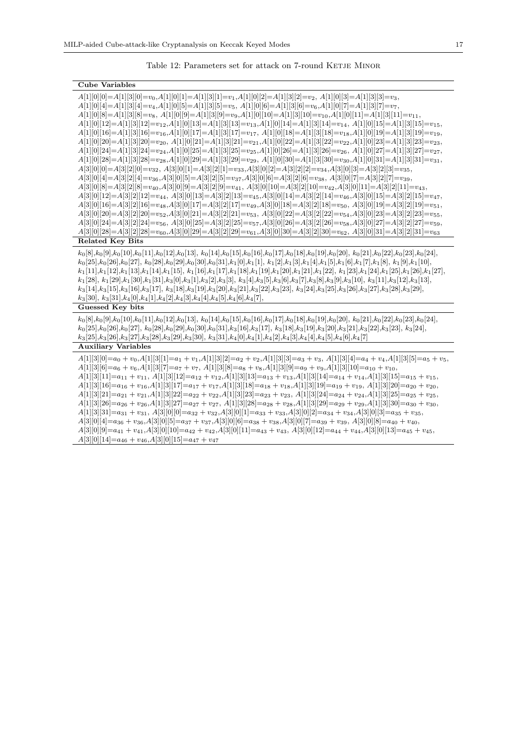|  |  | Table 12: Parameters set for attack on 7-round KETJE MINOR |  |  |  |  |  |  |
|--|--|------------------------------------------------------------|--|--|--|--|--|--|
|--|--|------------------------------------------------------------|--|--|--|--|--|--|

<span id="page-16-0"></span>

| <b>Cube Variables</b>                                                                                                                                                                                                                                                                                                                                                                                                                                                                                                                                                                                                                                                                                                                                                                                                                                                                                                                                                                                                                                                                                                                                                                                                                                                                                                                                                                                                                                                                                                                                                                                                                                                                                                                                                                                                                                                                                                                                                                                                                                                                                                                                                                                                                                                                                                                                                                                                                                                                                                                                                                                                                                                                                                                           |
|-------------------------------------------------------------------------------------------------------------------------------------------------------------------------------------------------------------------------------------------------------------------------------------------------------------------------------------------------------------------------------------------------------------------------------------------------------------------------------------------------------------------------------------------------------------------------------------------------------------------------------------------------------------------------------------------------------------------------------------------------------------------------------------------------------------------------------------------------------------------------------------------------------------------------------------------------------------------------------------------------------------------------------------------------------------------------------------------------------------------------------------------------------------------------------------------------------------------------------------------------------------------------------------------------------------------------------------------------------------------------------------------------------------------------------------------------------------------------------------------------------------------------------------------------------------------------------------------------------------------------------------------------------------------------------------------------------------------------------------------------------------------------------------------------------------------------------------------------------------------------------------------------------------------------------------------------------------------------------------------------------------------------------------------------------------------------------------------------------------------------------------------------------------------------------------------------------------------------------------------------------------------------------------------------------------------------------------------------------------------------------------------------------------------------------------------------------------------------------------------------------------------------------------------------------------------------------------------------------------------------------------------------------------------------------------------------------------------------------------------------|
| $A[1][0][0]=A[1][3][0]=v_0, A[1][0][1]=A[1][3][1]=v_1, A[1][0][2]=A[1][3][2]=v_2, A[1][0][3]=A[1][3][3]=v_3,$<br>$A[1][0][4] = A[1][3][4] = v_4, A[1][0][5] = A[1][3][5] = v_5, A[1][0][6] = A[1][3][6] = v_6, A[1][0][7] = A[1][3][7] = v_7,$<br>$A[1][0][8] = A[1][3][8] = v_8, A[1][0][9] = A[1][3][9] = v_9, A[1][0][10] = A[1][3][10] = v_{10}, A[1][0][11] = A[1][3][11] = v_{11},$<br>$A[1][0][12] = A[1][3][12] = v_{12}, A[1][0][13] = A[1][3][13] = v_{13}, A[1][0][14] = A[1][3][14] = v_{14}, A[1][0][15] = A[1][3][15] = v_{15},$<br>$A[1][0][16] = A[1][3][16] = v_{16}, A[1][0][17] = A[1][3][17] = v_{17}, A[1][0][18] = A[1][3][18] = v_{18}, A[1][0][19] = A[1][3][19] = v_{19},$<br>$A[1][0][20] = A[1][3][20] = v_{20}, A[1][0][21] = A[1][3][21] = v_{21}, A[1][0][22] = A[1][3][22] = v_{22}, A[1][0][23] = A[1][3][23] = v_{23},$<br>$A[1][0][24] = A[1][3][24] = v_{24}, A[1][0][25] = A[1][3][25] = v_{25}, A[1][0][26] = A[1][3][26] = v_{26}, A[1][0][27] = A[1][3][27] = v_{27}, A[1][0][26] = v_{26}, A[1][0][27] = v_{27}, A[1][0][28] = v_{28}, A[1][0][29] = v_{29}, A[1][0][27] = v_{29}, A[1][0][27] = v_{20}, A[1][0][27] = v_{21}, A[1][0][28] = v_{22},$<br>$A[1][0][28] = A[1][3][28] = v_{28}, A[1][0][29] = A[1][3][29] = v_{29}, A[1][0][30] = A[1][3][30] = v_{30}, A[1][0][31] = A[1][3][31] = v_{31},$<br>$A[3][0][0] = A[3][2][0] = v_{32}, A[3][0][1] = A[3][2][1] = v_{33}, A[3][0][2] = A[3][2][2] = v_{34}, A[3][0][3] = A[3][2][3] = v_{35},$<br>$A[3][0][4] = A[3][2][4] = v_{36}, A[3][0][5] = A[3][2][5] = v_{37}, A[3][0][6] = A[3][2][6] = v_{38}, A[3][0][7] = A[3][2][7] = v_{39},$<br>$A[3][0][8]=A[3][2][8]=v_{40}, A[3][0][9]=A[3][2][9]=v_{41}, A[3][0][10]=A[3][2][10]=v_{42}, A[3][0][11]=A[3][2][11]=v_{43},$<br>$A[3][0][12] = A[3][2][12] = v_{44}, A[3][0][13] = A[3][2][13] = v_{45}, A[3][0][14] = A[3][2][14] = v_{46}, A[3][0][15] = A[3][2][15] = v_{47}, A[3][0][16] = v_{48}, A[3][0][16] = v_{49}, A[3][0][16] = v_{49}, A[3][0][16] = v_{49}, A[3][0][16] = v_{49}, A[3][0][16] = v_{40}, A[3][0][16] = v_{40}, A[3][0][16] = v_{40},$<br>$A[3][0][16] = A[3][2][16] = v_{48}, A[3][0][17] = A[3][2][17] = v_{49}, A[3][0][18] = A[3][2][18] = v_{50}, A[3][0][19] = A[3][2][19] = v_{51},$<br>$A[3][0][20] = A[3][2][20] = v_{52}$ , $A[3][0][21] = A[3][2][21] = v_{53}$ , $A[3][0][22] = A[3][2][22] = v_{54}$ , $A[3][0][23] = A[3][2][23] = v_{55}$ ,<br>$A[3][0][24] = A[3][2][24] = v_{56}, A[3][0][25] = A[3][2][25] = v_{57}, A[3][0][26] = A[3][2][26] = v_{58}, A[3][0][27] = A[3][2][27] = v_{59},$<br>$A[3][0][28] = A[3][2][28] = v_{60}, A[3][0][29] = A[3][2][29] = v_{61}, A[3][0][30] = A[3][2][30] = v_{62}, A[3][0][31] = A[3][2][31] = v_{63}$ |
| <b>Related Key Bits</b>                                                                                                                                                                                                                                                                                                                                                                                                                                                                                                                                                                                                                                                                                                                                                                                                                                                                                                                                                                                                                                                                                                                                                                                                                                                                                                                                                                                                                                                                                                                                                                                                                                                                                                                                                                                                                                                                                                                                                                                                                                                                                                                                                                                                                                                                                                                                                                                                                                                                                                                                                                                                                                                                                                                         |
| $k_0[8], k_0[9], k_0[10], k_0[11], k_0[12], k_0[13], k_0[14], k_0[15], k_0[16], k_0[17], k_0[18], k_0[19], k_0[20], k_0[21], k_0[22], k_0[23], k_0[24], k_0[24], k_0[24], k_0[24], k_0[24], k_0[24], k_0[24], k_0[24], k_0[24], k_0[24], k_0[24], k_0[24], k_0[24], k_0[24], k_0[24], k_0[2$<br>$k_0[25], k_0[26], k_0[27], k_0[28], k_0[29], k_0[30], k_0[31], k_1[0], k_1[1], k_1[2], k_1[3], k_1[4], k_1[5], k_1[6], k_1[7], k_1[8], k_1[9], k_1[10], k_1[10], k_1[11], k_1[2], k_1[2], k_1[3], k_1[4], k_1[5], k_1[6], k_1[7], k_1[8], k_1[9], k_1[10], k_1[11], k_1[10], k_1[11], k_1[11], k$<br>$k_1[11], k_1[12], k_1[13], k_1[14], k_1[15], k_1[16], k_1[17], k_1[18], k_1[19], k_1[20], k_1[21], k_1[22], k_1[23], k_1[24], k_1[25], k_1[26], k_1[27], k_1[26], k_1[27], k_1[27], k_1[28], k_1[29], k_1[20], k_1[20], k_1[20], k_1[21], k_1[22], k_1[26], k_1[27], k_1[28], k_1[29], k_1$<br>$k_1[28], k_1[29], k_1[30], k_1[31], k_3[0], k_3[1], k_3[2], k_3[3], k_3[4], k_3[5], k_3[6], k_3[7], k_3[8], k_3[9], k_3[10], k_3[11], k_3[12], k_3[13], k_3[13], k_3[13], k_3[13], k_3[13], k_3[13], k_3[13], k_3[13], k_3[13], k_3[13], k_3[13], k_3[13], k_3[13], k_3[13], k_3[13], k_3[13$<br>$k_3[14], k_3[15], k_3[16], k_3[17], k_3[18], k_3[19], k_3[20], k_3[21], k_3[22], k_3[23], k_3[24], k_3[25], k_3[26], k_3[27], k_3[28], k_3[29], k_3[29], k_3[29], k_3[20], k_3[20], k_3[20], k_3[20], k_3[20], k_3[20], k_3[20], k_3[20], k_3[21], k_3[20], k_3[21], k_3[21], k_3[22], k_3$<br>$k_3[30], k_3[31], k_4[0], k_4[1], k_4[2], k_4[3], k_4[4], k_4[5], k_4[6], k_4[7],$                                                                                                                                                                                                                                                                                                                                                                                                                                                                                                                                                                                                                                                                                                                                                                                                                                                                                                                                                                                                                                                                                                                                                     |
| <b>Guessed Key bits</b>                                                                                                                                                                                                                                                                                                                                                                                                                                                                                                                                                                                                                                                                                                                                                                                                                                                                                                                                                                                                                                                                                                                                                                                                                                                                                                                                                                                                                                                                                                                                                                                                                                                                                                                                                                                                                                                                                                                                                                                                                                                                                                                                                                                                                                                                                                                                                                                                                                                                                                                                                                                                                                                                                                                         |
| $k_0[8], k_0[9], k_0[10], k_0[11], k_0[12], k_0[13], k_0[14], k_0[15], k_0[16], k_0[17], k_0[18], k_0[19], k_0[20], k_0[21], k_0[22], k_0[23], k_0[24], k_0[23], k_0[24], k_0[24], k_0[24], k_0[24], k_0[24], k_0[24], k_0[24], k_0[24], k_0[24], k_0[24], k_0[24], k_0[24], k_0[24], k_0[2$<br>$k_0[25], k_0[26], k_0[27], k_0[28], k_0[29], k_0[30], k_0[31], k_3[16], k_3[17], k_3[18], k_3[19], k_3[20], k_3[21], k_3[22], k_3[23], k_3[24], k_3[23], k_3[22], k_3[32], k_3[32], k_3[32], k_3[32], k_3[32], k_3[32], k_3[32], k_3[32], k_3[32], k_3[32], k_3[32], k_3[32], k_3[32], k_3$<br>$k_3[25], k_3[26], k_3[27], k_3[28], k_3[29], k_3[30], k_3[31], k_4[0], k_4[1], k_4[2], k_4[3], k_4[4], k_4[5], k_4[6], k_4[7]$                                                                                                                                                                                                                                                                                                                                                                                                                                                                                                                                                                                                                                                                                                                                                                                                                                                                                                                                                                                                                                                                                                                                                                                                                                                                                                                                                                                                                                                                                                                                                                                                                                                                                                                                                                                                                                                                                                                                                                                                                 |
| <b>Auxiliary Variables</b>                                                                                                                                                                                                                                                                                                                                                                                                                                                                                                                                                                                                                                                                                                                                                                                                                                                                                                                                                                                                                                                                                                                                                                                                                                                                                                                                                                                                                                                                                                                                                                                                                                                                                                                                                                                                                                                                                                                                                                                                                                                                                                                                                                                                                                                                                                                                                                                                                                                                                                                                                                                                                                                                                                                      |
| $A[1][3][0]=a_0+v_0, A[1][3][1]=a_1+v_1, A[1][3][2]=a_2+v_2, A[1][3][3]=a_3+v_3, A[1][3][4]=a_4+v_4, A[1][3][5]=a_5+v_5,$<br>$A[1][3][6]=a_6+v_6, A[1][3][7]=a_7+v_7, A[1][3][8]=a_8+v_8, A[1][3][9]=a_9+v_9, A[1][3][10]=a_{10}+v_{10},$<br>$A[1][3][11]=a_{11}+v_{11}, A[1][3][12]=a_{12}+v_{12}, A[1][3][13]=a_{13}+v_{13}, A[1][3][14]=a_{14}+v_{14}, A[1][3][15]=a_{15}+v_{15},$<br>$A[1][3][16]=a_{16}+v_{16},\\ A[1][3][17]=a_{17}+v_{17},\\ A[1][3][18]=a_{18}+v_{18},\\ A[1][3][19]=a_{19}+v_{19},\\ A[1][3][20]=a_{20}+v_{20},\\ A[1][3][20]=a_{16}+v_{16},\\ A[1][3][20]=a_{17}+v_{17},\\ A[1][3][20]=a_{18}+v_{18},\\ A[1][3][20]=a_{19}+v_{19},\\ A[1][3][20]=a_{10}+v_{19},\\ A[1][3][20]=a$<br>$A[1][3][21]=a_{21}+v_{21}A[1][3][22]=a_{22}+v_{22}A[1][3][23]=a_{23}+v_{23}$ , $A[1][3][24]=a_{24}+v_{24}A[1][3][25]=a_{25}+v_{25}$ ,<br>$A[1][3][26]=a_{26}+v_{26}, A[1][3][27]=a_{27}+v_{27}, A[1][3][28]=a_{28}+v_{28}, A[1][3][29]=a_{29}+v_{29}, A[1][3][30]=a_{30}+v_{30},$<br>$A[1][3][31]=a_{31}+v_{31}, A[3][0][0]=a_{32}+v_{32}, A[3][0][1]=a_{33}+v_{33}, A[3][0][2]=a_{34}+v_{34}, A[3][0][3]=a_{35}+v_{35},$<br>$A[3][0][4]=a_{36}+v_{36}$ , $A[3][0][5]=a_{37}+v_{37}$ , $A[3][0][6]=a_{38}+v_{38}$ , $A[3][0][7]=a_{39}+v_{39}$ , $A[3][0][8]=a_{40}+v_{40}$ ,<br>$A[3][0][9]=a_{41}+v_{41},A[3][0][10]=a_{42}+v_{42},A[3][0][11]=a_{43}+v_{43},A[3][0][12]=a_{44}+v_{44},A[3][0][13]=a_{45}+v_{45},$<br>$A[3][0][14]=a_{46}+v_{46}, A[3][0][15]=a_{47}+v_{47}$                                                                                                                                                                                                                                                                                                                                                                                                                                                                                                                                                                                                                                                                                                                                                                                                                                                                                                                                                                                                                                                                                                                                                                                                                                                   |